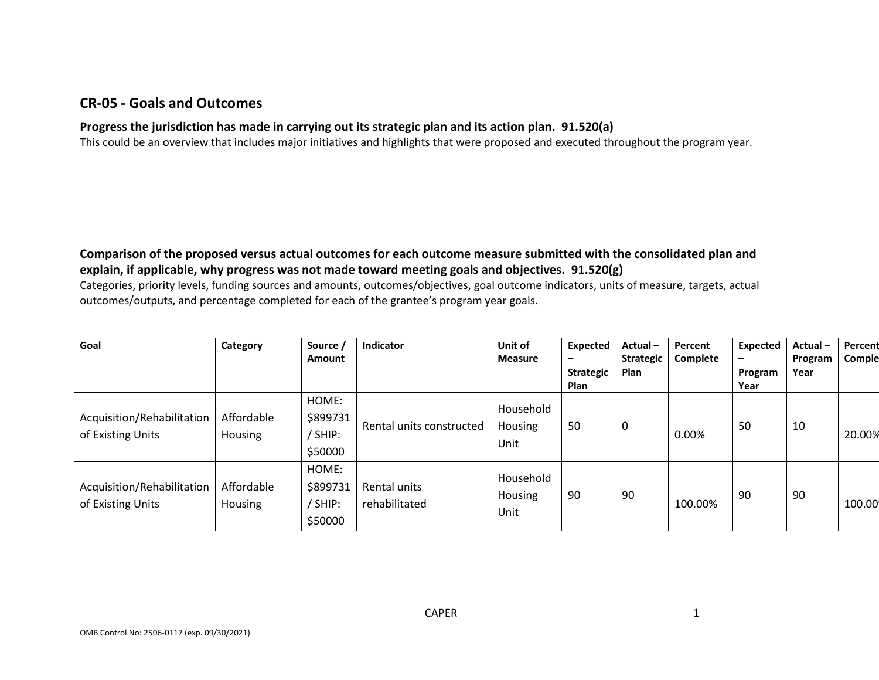### **CR-05 - Goals and Outcomes**

## **Progress the jurisdiction has made in carrying out its strategic plan and its action plan. 91.520(a)**

This could be an overview that includes major initiatives and highlights that were proposed and executed throughout the program year.

### **Comparison of the proposed versus actual outcomes for each outcome measure submitted with the consolidated plan and explain, if applicable, why progress was not made toward meeting goals and objectives. 91.520(g)**

Categories, priority levels, funding sources and amounts, outcomes/objectives, goal outcome indicators, units of measure, targets, actual outcomes/outputs, and percentage completed for each of the grantee's program year goals.

| Goal                                            | Category              | Source /<br><b>Amount</b>               | <b>Indicator</b>              | Unit of<br><b>Measure</b>    | <b>Expected</b><br>-<br><b>Strategic</b><br><b>Plan</b> | Actual-<br><b>Strategic</b><br>Plan | Percent<br>Complete | Expected<br>$\overline{\phantom{0}}$<br>Program<br>Year | Actual-<br>Program<br>Year | Percent<br>Comple |
|-------------------------------------------------|-----------------------|-----------------------------------------|-------------------------------|------------------------------|---------------------------------------------------------|-------------------------------------|---------------------|---------------------------------------------------------|----------------------------|-------------------|
| Acquisition/Rehabilitation<br>of Existing Units | Affordable<br>Housing | HOME:<br>\$899731<br>/ SHIP:<br>\$50000 | Rental units constructed      | Household<br>Housing<br>Unit | 50                                                      | 0                                   | 0.00%               | 50                                                      | 10                         | 20.00%            |
| Acquisition/Rehabilitation<br>of Existing Units | Affordable<br>Housing | HOME:<br>\$899731<br>/ SHIP:<br>\$50000 | Rental units<br>rehabilitated | Household<br>Housing<br>Unit | 90                                                      | 90                                  | 100.00%             | 90                                                      | 90                         | 100.00            |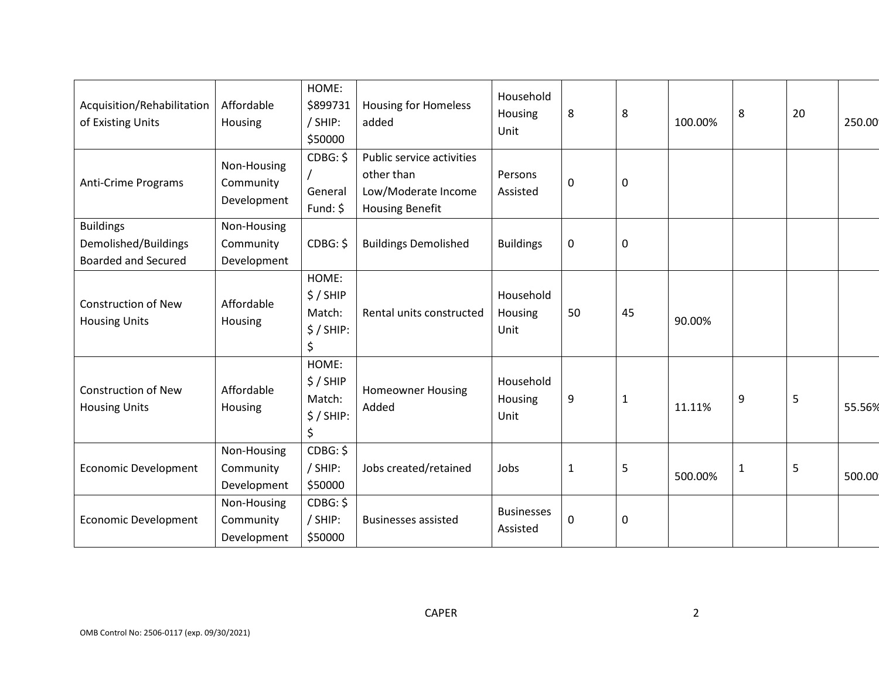| Acquisition/Rehabilitation<br>of Existing Units    | Affordable<br>Housing                   | HOME:<br>\$899731<br>/ SHIP:<br>\$50000          | <b>Housing for Homeless</b><br>added                                                     | Household<br>Housing<br>Unit  | 8            | 8           | 100.00% | 8            | 20 | 250.00 |
|----------------------------------------------------|-----------------------------------------|--------------------------------------------------|------------------------------------------------------------------------------------------|-------------------------------|--------------|-------------|---------|--------------|----|--------|
| <b>Anti-Crime Programs</b>                         | Non-Housing<br>Community<br>Development | CDBG: \$<br>General<br>Fund: \$                  | Public service activities<br>other than<br>Low/Moderate Income<br><b>Housing Benefit</b> | Persons<br>Assisted           | 0            | $\mathbf 0$ |         |              |    |        |
| <b>Buildings</b>                                   | Non-Housing                             |                                                  |                                                                                          |                               |              |             |         |              |    |        |
| Demolished/Buildings<br><b>Boarded and Secured</b> | Community<br>Development                | CDBG: \$                                         | <b>Buildings Demolished</b>                                                              | <b>Buildings</b>              | 0            | 0           |         |              |    |        |
| <b>Construction of New</b><br><b>Housing Units</b> | Affordable<br>Housing                   | HOME:<br>$$/$ SHIP<br>Match:<br>$$/$ SHIP:<br>\$ | Rental units constructed                                                                 | Household<br>Housing<br>Unit  | 50           | 45          | 90.00%  |              |    |        |
| <b>Construction of New</b><br><b>Housing Units</b> | Affordable<br>Housing                   | HOME:<br>$$/$ SHIP<br>Match:<br>$$/$ SHIP:<br>\$ | <b>Homeowner Housing</b><br>Added                                                        | Household<br>Housing<br>Unit  | 9            | 1           | 11.11%  | 9            | 5  | 55.56% |
| <b>Economic Development</b>                        | Non-Housing<br>Community<br>Development | CDBG: \$<br>/ SHIP:<br>\$50000                   | Jobs created/retained                                                                    | Jobs                          | $\mathbf{1}$ | 5           | 500.00% | $\mathbf{1}$ | 5  | 500.00 |
| <b>Economic Development</b>                        | Non-Housing<br>Community<br>Development | CDBG: \$<br>/ SHIP:<br>\$50000                   | <b>Businesses assisted</b>                                                               | <b>Businesses</b><br>Assisted | 0            | $\mathbf 0$ |         |              |    |        |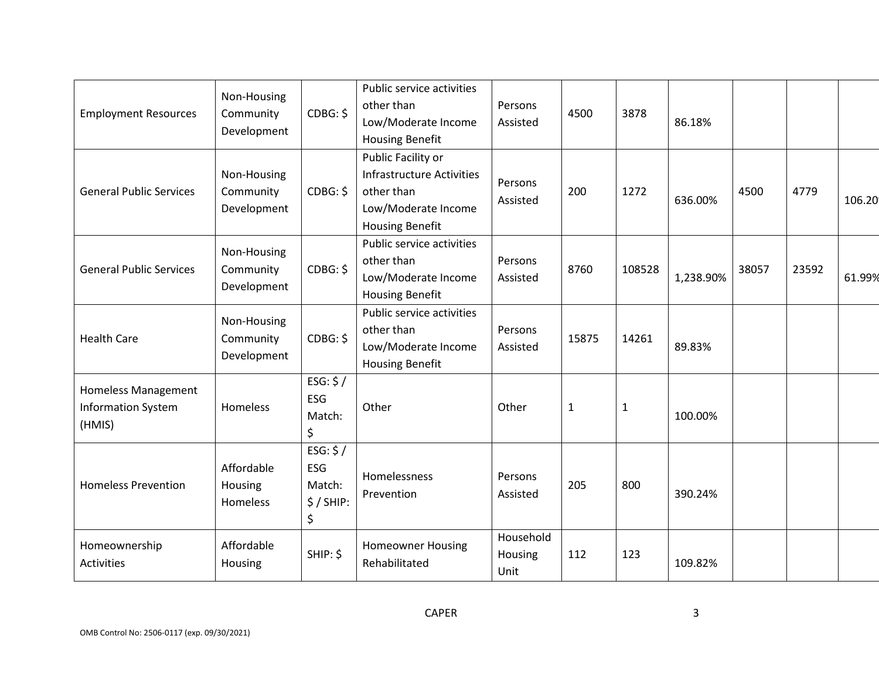| <b>Employment Resources</b>                                       | Non-Housing<br>Community<br>Development | CDBG: \$                                              | Public service activities<br>other than<br>Low/Moderate Income<br><b>Housing Benefit</b>                       | Persons<br>Assisted          | 4500         | 3878         | 86.18%    |       |       |        |
|-------------------------------------------------------------------|-----------------------------------------|-------------------------------------------------------|----------------------------------------------------------------------------------------------------------------|------------------------------|--------------|--------------|-----------|-------|-------|--------|
| <b>General Public Services</b>                                    | Non-Housing<br>Community<br>Development | CDBG: \$                                              | Public Facility or<br><b>Infrastructure Activities</b><br>other than<br>Low/Moderate Income<br>Housing Benefit | Persons<br>Assisted          | 200          | 1272         | 636.00%   | 4500  | 4779  | 106.20 |
| <b>General Public Services</b>                                    | Non-Housing<br>Community<br>Development | CDBG: \$                                              | Public service activities<br>other than<br>Low/Moderate Income<br><b>Housing Benefit</b>                       | Persons<br>Assisted          | 8760         | 108528       | 1,238.90% | 38057 | 23592 | 61.99% |
| <b>Health Care</b>                                                | Non-Housing<br>Community<br>Development | CDBG: \$                                              | Public service activities<br>other than<br>Low/Moderate Income<br><b>Housing Benefit</b>                       | Persons<br>Assisted          | 15875        | 14261        | 89.83%    |       |       |        |
| <b>Homeless Management</b><br><b>Information System</b><br>(HMIS) | Homeless                                | ESG: $$/$<br>ESG<br>Match:<br>\$                      | Other                                                                                                          | Other                        | $\mathbf{1}$ | $\mathbf{1}$ | 100.00%   |       |       |        |
| <b>Homeless Prevention</b>                                        | Affordable<br>Housing<br>Homeless       | ESG: $$/$<br><b>ESG</b><br>Match:<br>$$/$ SHIP:<br>\$ | Homelessness<br>Prevention                                                                                     | Persons<br>Assisted          | 205          | 800          | 390.24%   |       |       |        |
| Homeownership<br><b>Activities</b>                                | Affordable<br>Housing                   | SHIP: \$                                              | <b>Homeowner Housing</b><br>Rehabilitated                                                                      | Household<br>Housing<br>Unit | 112          | 123          | 109.82%   |       |       |        |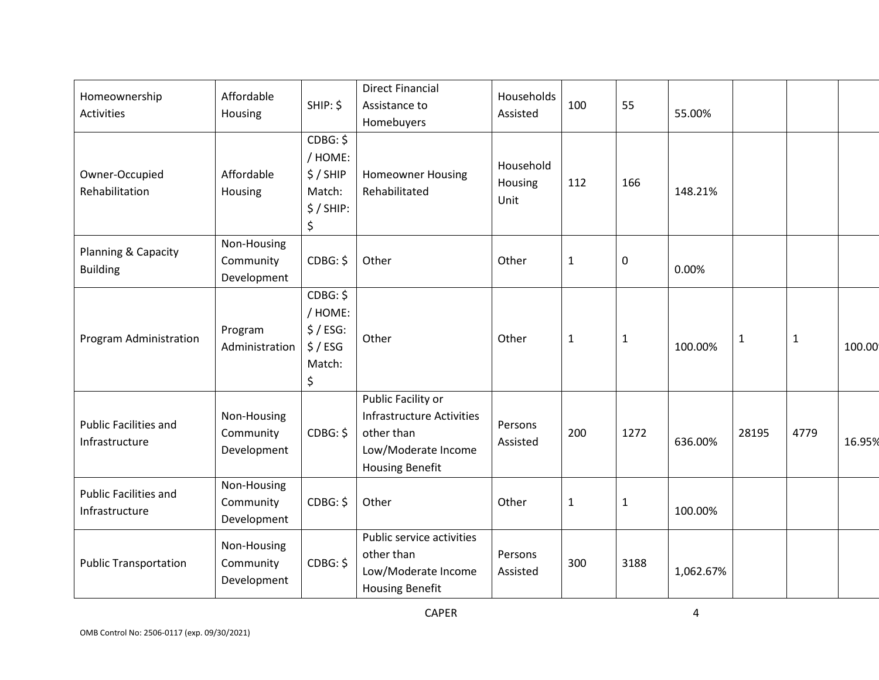| Homeownership<br><b>Activities</b>             | Affordable<br>Housing                   | SHIP: \$                                                     | <b>Direct Financial</b><br>Assistance to<br>Homebuyers                                                                | Households<br>Assisted       | 100          | 55           | 55.00%    |              |              |        |
|------------------------------------------------|-----------------------------------------|--------------------------------------------------------------|-----------------------------------------------------------------------------------------------------------------------|------------------------------|--------------|--------------|-----------|--------------|--------------|--------|
| Owner-Occupied<br>Rehabilitation               | Affordable<br>Housing                   | CDBG: \$<br>/ HOME:<br>\$/SHIP<br>Match:<br>$$/$ SHIP:<br>\$ | <b>Homeowner Housing</b><br>Rehabilitated                                                                             | Household<br>Housing<br>Unit | 112          | 166          | 148.21%   |              |              |        |
| Planning & Capacity<br><b>Building</b>         | Non-Housing<br>Community<br>Development | CDBG: \$                                                     | Other                                                                                                                 | Other                        | $\mathbf{1}$ | 0            | 0.00%     |              |              |        |
| Program Administration                         | Program<br>Administration               | CDBG: \$<br>/ HOME:<br>$$/ESG$ :<br>\$/ESG<br>Match:<br>\$   | Other                                                                                                                 | Other                        | $\mathbf 1$  | $\mathbf{1}$ | 100.00%   | $\mathbf{1}$ | $\mathbf{1}$ | 100.00 |
| <b>Public Facilities and</b><br>Infrastructure | Non-Housing<br>Community<br>Development | CDBG: \$                                                     | Public Facility or<br><b>Infrastructure Activities</b><br>other than<br>Low/Moderate Income<br><b>Housing Benefit</b> | Persons<br>Assisted          | 200          | 1272         | 636.00%   | 28195        | 4779         | 16.95% |
| <b>Public Facilities and</b><br>Infrastructure | Non-Housing<br>Community<br>Development | CDBG: \$                                                     | Other                                                                                                                 | Other                        | $\mathbf{1}$ | $\mathbf{1}$ | 100.00%   |              |              |        |
| <b>Public Transportation</b>                   | Non-Housing<br>Community<br>Development | CDBG: \$                                                     | Public service activities<br>other than<br>Low/Moderate Income<br><b>Housing Benefit</b>                              | Persons<br>Assisted          | 300          | 3188         | 1,062.67% |              |              |        |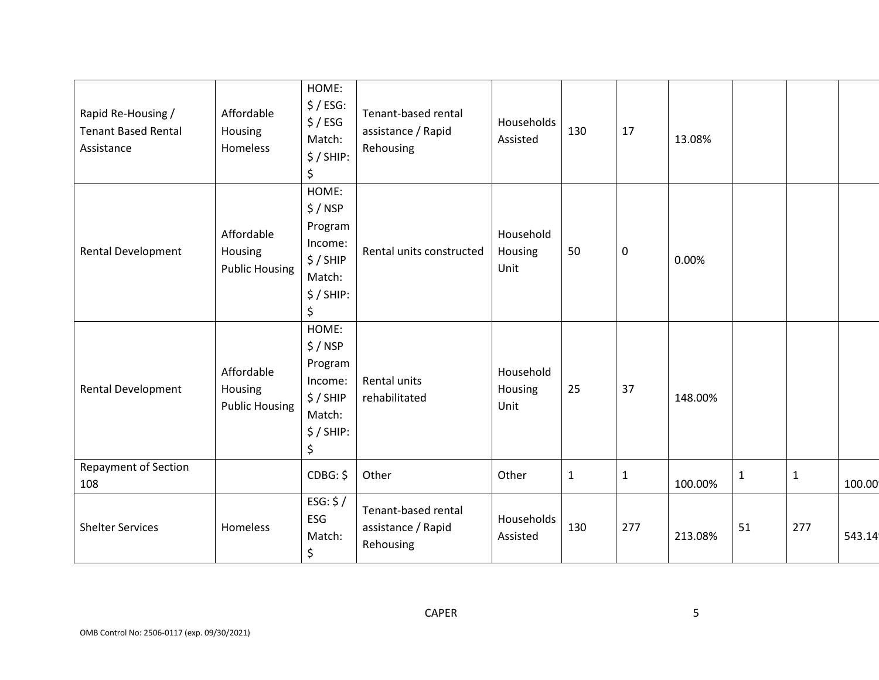| Rapid Re-Housing /<br><b>Tenant Based Rental</b><br>Assistance | Affordable<br>Housing<br>Homeless              | HOME:<br>\$/ESG:<br>\$/ESG<br>Match:<br>$$/$ SHIP:<br>\$                           | Tenant-based rental<br>assistance / Rapid<br>Rehousing | Households<br>Assisted       | 130          | 17           | 13.08%  |              |             |        |
|----------------------------------------------------------------|------------------------------------------------|------------------------------------------------------------------------------------|--------------------------------------------------------|------------------------------|--------------|--------------|---------|--------------|-------------|--------|
| <b>Rental Development</b>                                      | Affordable<br>Housing<br><b>Public Housing</b> | HOME:<br>$$/$ NSP<br>Program<br>Income:<br>\$/SHIP<br>Match:<br>$$/$ SHIP:<br>\$   | Rental units constructed                               | Household<br>Housing<br>Unit | 50           | $\mathbf 0$  | 0.00%   |              |             |        |
| <b>Rental Development</b>                                      | Affordable<br>Housing<br><b>Public Housing</b> | HOME:<br>$$/$ NSP<br>Program<br>Income:<br>$$/$ SHIP<br>Match:<br>$$/$ SHIP:<br>\$ | Rental units<br>rehabilitated                          | Household<br>Housing<br>Unit | 25           | 37           | 148.00% |              |             |        |
| <b>Repayment of Section</b><br>108                             |                                                | CDBG: \$                                                                           | Other                                                  | Other                        | $\mathbf{1}$ | $\mathbf{1}$ | 100.00% | $\mathbf{1}$ | $\mathbf 1$ | 100.00 |
| <b>Shelter Services</b>                                        | Homeless                                       | ESG: $$/$<br>ESG<br>Match:<br>\$                                                   | Tenant-based rental<br>assistance / Rapid<br>Rehousing | Households<br>Assisted       | 130          | 277          | 213.08% | 51           | 277         | 543.14 |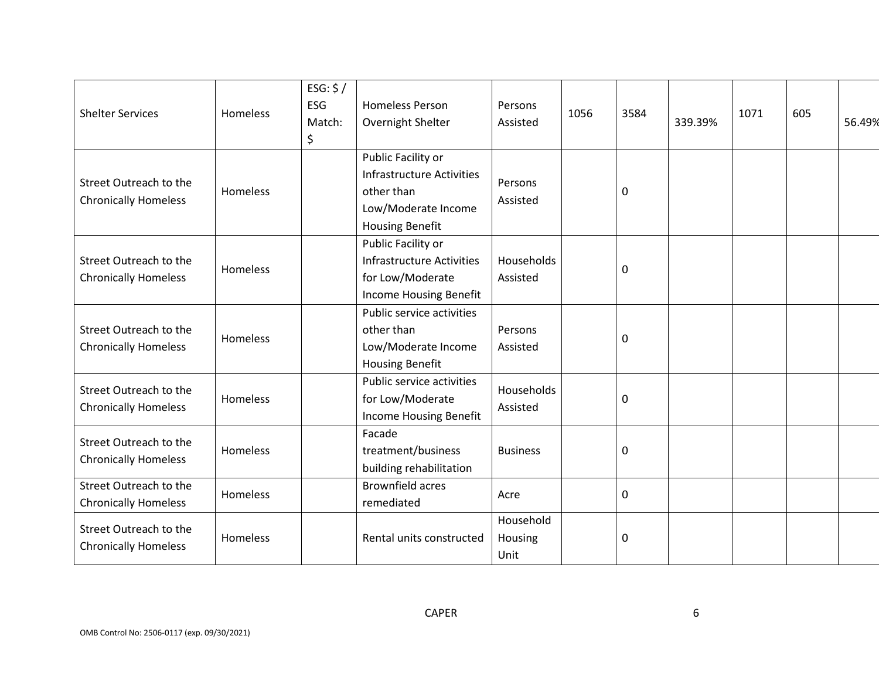| <b>Shelter Services</b>                               | <b>Homeless</b> | ESG: $$/$<br><b>ESG</b><br>Match:<br>\$ | <b>Homeless Person</b><br>Overnight Shelter                                                                           | Persons<br>Assisted          | 1056 | 3584 | 339.39% | 1071 | 605 | 56.49% |
|-------------------------------------------------------|-----------------|-----------------------------------------|-----------------------------------------------------------------------------------------------------------------------|------------------------------|------|------|---------|------|-----|--------|
| Street Outreach to the<br><b>Chronically Homeless</b> | Homeless        |                                         | Public Facility or<br><b>Infrastructure Activities</b><br>other than<br>Low/Moderate Income<br><b>Housing Benefit</b> | Persons<br>Assisted          |      | 0    |         |      |     |        |
| Street Outreach to the<br><b>Chronically Homeless</b> | Homeless        |                                         | Public Facility or<br><b>Infrastructure Activities</b><br>for Low/Moderate<br>Income Housing Benefit                  | Households<br>Assisted       |      | 0    |         |      |     |        |
| Street Outreach to the<br><b>Chronically Homeless</b> | Homeless        |                                         | Public service activities<br>other than<br>Low/Moderate Income<br><b>Housing Benefit</b>                              | Persons<br>Assisted          |      | 0    |         |      |     |        |
| Street Outreach to the<br><b>Chronically Homeless</b> | Homeless        |                                         | Public service activities<br>for Low/Moderate<br>Income Housing Benefit                                               | Households<br>Assisted       |      | 0    |         |      |     |        |
| Street Outreach to the<br><b>Chronically Homeless</b> | Homeless        |                                         | Facade<br>treatment/business<br>building rehabilitation                                                               | <b>Business</b>              |      | 0    |         |      |     |        |
| Street Outreach to the<br><b>Chronically Homeless</b> | Homeless        |                                         | <b>Brownfield acres</b><br>remediated                                                                                 | Acre                         |      | 0    |         |      |     |        |
| Street Outreach to the<br><b>Chronically Homeless</b> | Homeless        |                                         | Rental units constructed                                                                                              | Household<br>Housing<br>Unit |      | 0    |         |      |     |        |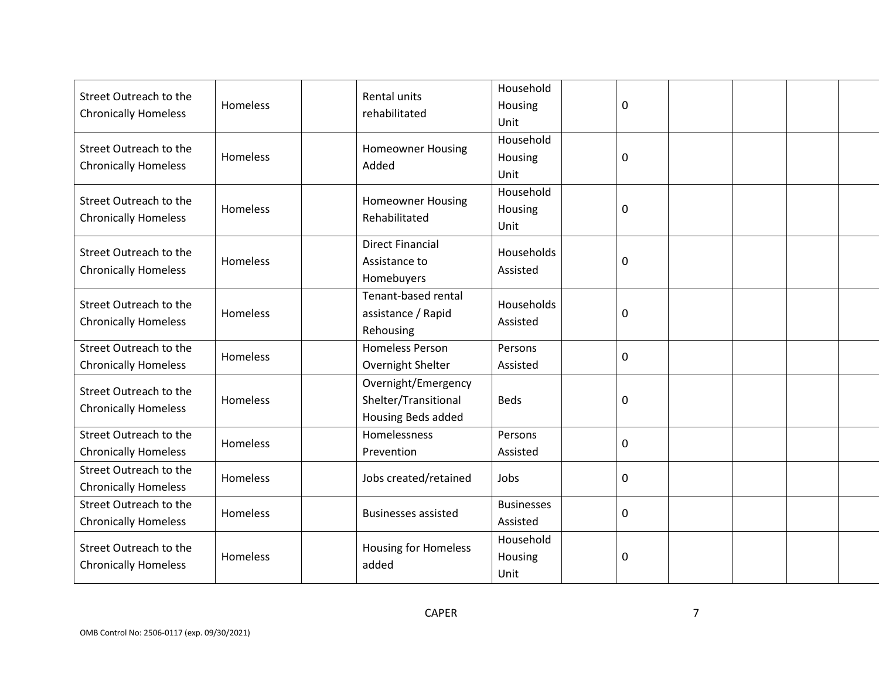| Street Outreach to the<br><b>Chronically Homeless</b> | Homeless | Rental units<br>rehabilitated     | Household<br>Housing   | 0         |  |  |
|-------------------------------------------------------|----------|-----------------------------------|------------------------|-----------|--|--|
|                                                       |          |                                   | Unit<br>Household      |           |  |  |
| Street Outreach to the<br><b>Chronically Homeless</b> | Homeless | <b>Homeowner Housing</b><br>Added | Housing                | 0         |  |  |
|                                                       |          |                                   | Unit                   |           |  |  |
| Street Outreach to the                                | Homeless | <b>Homeowner Housing</b>          | Household<br>Housing   | 0         |  |  |
| <b>Chronically Homeless</b>                           |          | Rehabilitated                     | Unit                   |           |  |  |
| Street Outreach to the                                |          | <b>Direct Financial</b>           | Households             |           |  |  |
| <b>Chronically Homeless</b>                           | Homeless | Assistance to<br>Homebuyers       | Assisted               | 0         |  |  |
|                                                       |          | Tenant-based rental               |                        |           |  |  |
| Street Outreach to the<br><b>Chronically Homeless</b> | Homeless | assistance / Rapid                | Households<br>Assisted | 0         |  |  |
|                                                       |          | Rehousing                         |                        |           |  |  |
| Street Outreach to the                                | Homeless | <b>Homeless Person</b>            | Persons                | 0         |  |  |
| <b>Chronically Homeless</b>                           |          | Overnight Shelter                 | Assisted               |           |  |  |
| Street Outreach to the                                |          | Overnight/Emergency               |                        |           |  |  |
| <b>Chronically Homeless</b>                           | Homeless | Shelter/Transitional              | <b>Beds</b>            | $\pmb{0}$ |  |  |
|                                                       |          | Housing Beds added                |                        |           |  |  |
| Street Outreach to the                                | Homeless | Homelessness                      | Persons                | 0         |  |  |
| <b>Chronically Homeless</b>                           |          | Prevention                        | Assisted               |           |  |  |
| Street Outreach to the<br><b>Chronically Homeless</b> | Homeless | Jobs created/retained             | Jobs                   | 0         |  |  |
| Street Outreach to the                                |          |                                   | <b>Businesses</b>      |           |  |  |
| <b>Chronically Homeless</b>                           | Homeless | <b>Businesses assisted</b>        | Assisted               | 0         |  |  |
| Street Outreach to the                                |          |                                   | Household              |           |  |  |
| <b>Chronically Homeless</b>                           | Homeless | Housing for Homeless<br>added     | Housing                | 0         |  |  |
|                                                       |          |                                   | Unit                   |           |  |  |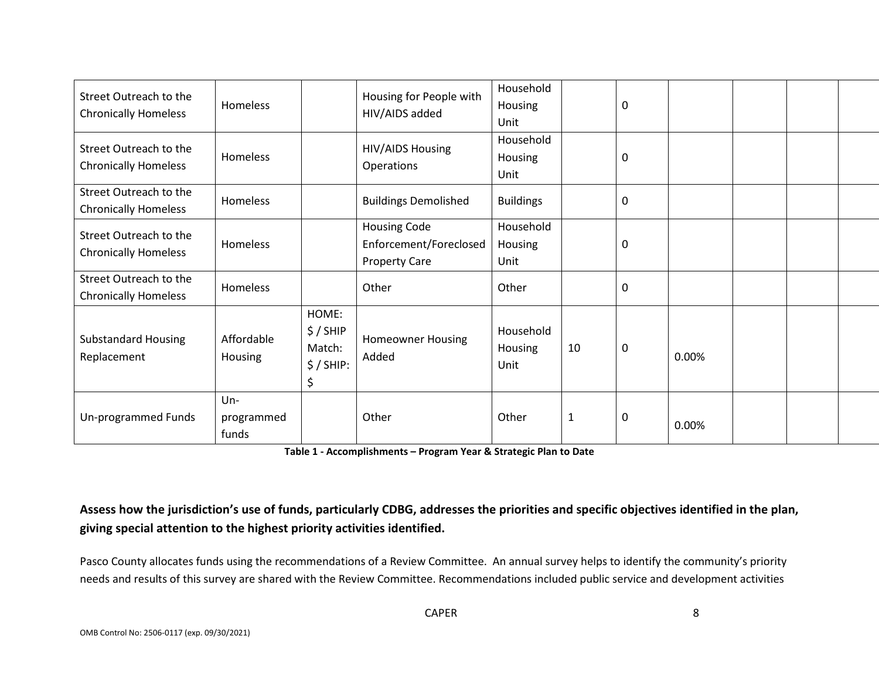| Street Outreach to the<br><b>Chronically Homeless</b> | Homeless                      |                                                  | Housing for People with<br>HIV/AIDS added                      | Household<br>Housing<br>Unit |              | 0           |       |  |  |
|-------------------------------------------------------|-------------------------------|--------------------------------------------------|----------------------------------------------------------------|------------------------------|--------------|-------------|-------|--|--|
| Street Outreach to the<br><b>Chronically Homeless</b> | Homeless                      |                                                  | HIV/AIDS Housing<br>Operations                                 | Household<br>Housing<br>Unit |              | 0           |       |  |  |
| Street Outreach to the<br><b>Chronically Homeless</b> | Homeless                      |                                                  | <b>Buildings Demolished</b>                                    | <b>Buildings</b>             |              | 0           |       |  |  |
| Street Outreach to the<br><b>Chronically Homeless</b> | Homeless                      |                                                  | Housing Code<br>Enforcement/Foreclosed<br><b>Property Care</b> | Household<br>Housing<br>Unit |              | 0           |       |  |  |
| Street Outreach to the<br><b>Chronically Homeless</b> | Homeless                      |                                                  | Other                                                          | Other                        |              | $\mathbf 0$ |       |  |  |
| <b>Substandard Housing</b><br>Replacement             | Affordable<br>Housing         | HOME:<br>$$/$ SHIP<br>Match:<br>$$/$ SHIP:<br>\$ | <b>Homeowner Housing</b><br>Added                              | Household<br>Housing<br>Unit | 10           | $\mathbf 0$ | 0.00% |  |  |
| Un-programmed Funds                                   | $Un -$<br>programmed<br>funds |                                                  | Other                                                          | Other                        | $\mathbf{1}$ | $\mathbf 0$ | 0.00% |  |  |

 **Table 1 - Accomplishments – Program Year & Strategic Plan to Date** 

## **giving special attention to the highest priority activities identified. Assess how the jurisdiction's use of funds, particularly CDBG, addresses the priorities and specific objectives identified in the plan,**

 Pasco County allocates funds using the recommendations of a Review Committee. An annual survey helps to identify the community's priority needs and results of this survey are shared with the Review Committee. Recommendations included public service and development activities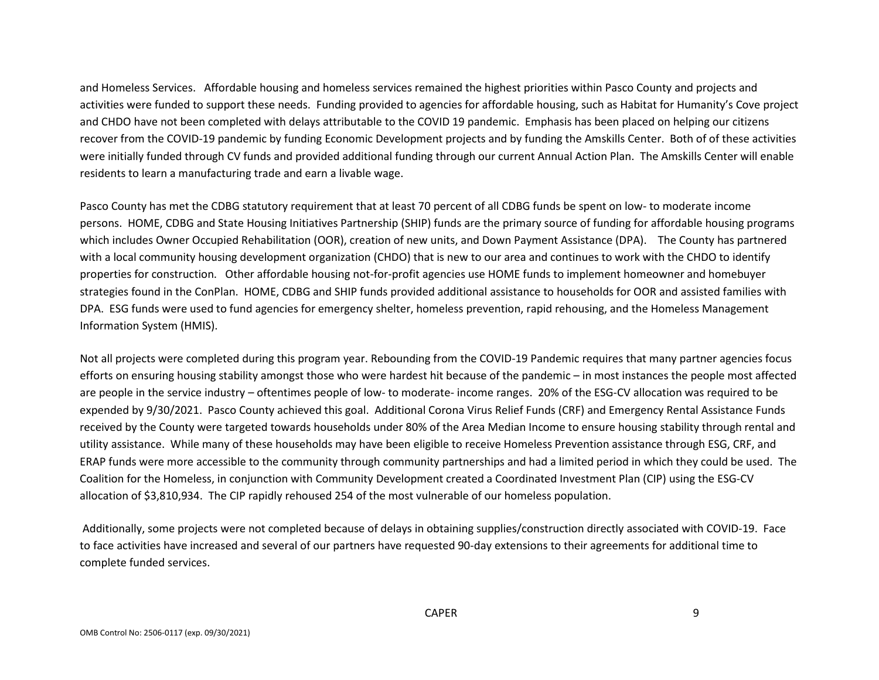and Homeless Services. Affordable housing and homeless services remained the highest priorities within Pasco County and projects and activities were funded to support these needs. Funding provided to agencies for affordable housing, such as Habitat for Humanity's Cove project and CHDO have not been completed with delays attributable to the COVID 19 pandemic. Emphasis has been placed on helping our citizens recover from the COVID-19 pandemic by funding Economic Development projects and by funding the Amskills Center. Both of of these activities were initially funded through CV funds and provided additional funding through our current Annual Action Plan. The Amskills Center will enable residents to learn a manufacturing trade and earn a livable wage.

 Pasco County has met the CDBG statutory requirement that at least 70 percent of all CDBG funds be spent on low- to moderate income persons. HOME, CDBG and State Housing Initiatives Partnership (SHIP) funds are the primary source of funding for affordable housing programs which includes Owner Occupied Rehabilitation (OOR), creation of new units, and Down Payment Assistance (DPA). The County has partnered with a local community housing development organization (CHDO) that is new to our area and continues to work with the CHDO to identify properties for construction. Other affordable housing not-for-profit agencies use HOME funds to implement homeowner and homebuyer strategies found in the ConPlan. HOME, CDBG and SHIP funds provided additional assistance to households for OOR and assisted families with DPA. ESG funds were used to fund agencies for emergency shelter, homeless prevention, rapid rehousing, and the Homeless Management Information System (HMIS).

 are people in the service industry – oftentimes people of low- to moderate- income ranges. 20% of the ESG-CV allocation was required to be expended by 9/30/2021. Pasco County achieved this goal. Additional Corona Virus Relief Funds (CRF) and Emergency Rental Assistance Funds received by the County were targeted towards households under 80% of the Area Median Income to ensure housing stability through rental and utility assistance. While many of these households may have been eligible to receive Homeless Prevention assistance through ESG, CRF, and ERAP funds were more accessible to the community through community partnerships and had a limited period in which they could be used. The allocation of \$3,810,934. The CIP rapidly rehoused 254 of the most vulnerable of our homeless population. Not all projects were completed during this program year. Rebounding from the COVID-19 Pandemic requires that many partner agencies focus efforts on ensuring housing stability amongst those who were hardest hit because of the pandemic – in most instances the people most affected Coalition for the Homeless, in conjunction with Community Development created a Coordinated Investment Plan (CIP) using the ESG-CV

 Additionally, some projects were not completed because of delays in obtaining supplies/construction directly associated with COVID-19. Face to face activities have increased and several of our partners have requested 90-day extensions to their agreements for additional time to complete funded services. complete funded services.<br>
CAPER 9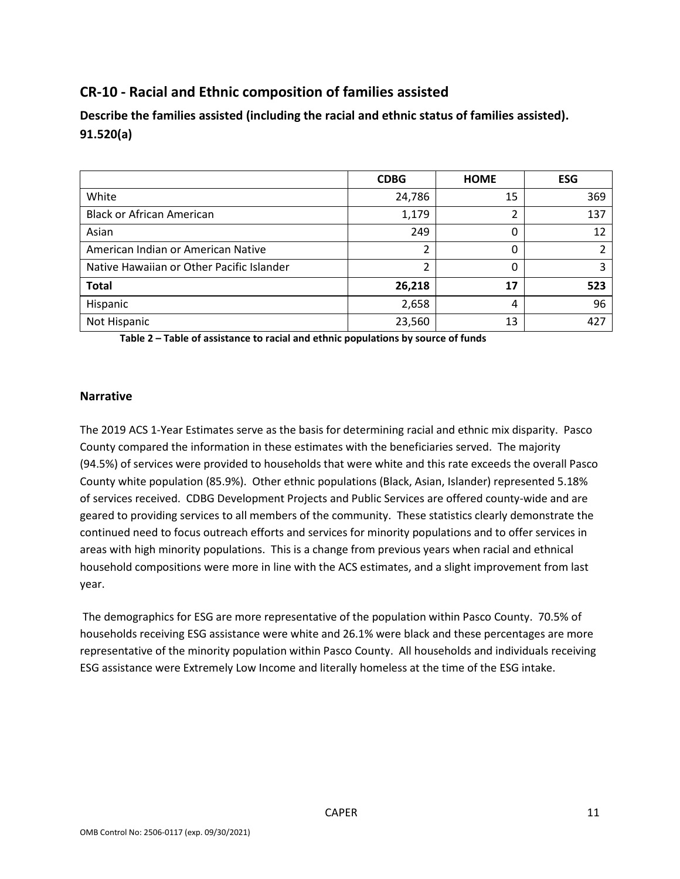## **CR-10 - Racial and Ethnic composition of families assisted**

 **Describe the families assisted (including the racial and ethnic status of families assisted). 91.520(a)** 

|                                           | <b>CDBG</b> | <b>HOME</b> | <b>ESG</b> |
|-------------------------------------------|-------------|-------------|------------|
| White                                     | 24,786      | 15          | 369        |
| <b>Black or African American</b>          | 1,179       | ำ           | 137        |
| Asian                                     | 249         | 0           | 12         |
| American Indian or American Native        | 2           | 0           |            |
| Native Hawaiian or Other Pacific Islander |             | 0           |            |
| <b>Total</b>                              | 26,218      | 17          | 523        |
| Hispanic                                  | 2,658       | 4           | 96         |
| Not Hispanic                              | 23,560      | 13          | 427        |

 **Table 2 – Table of assistance to racial and ethnic populations by source of funds** 

#### **Narrative**

 The 2019 ACS 1-Year Estimates serve as the basis for determining racial and ethnic mix disparity. Pasco County compared the information in these estimates with the beneficiaries served. The majority (94.5%) of services were provided to households that were white and this rate exceeds the overall Pasco County white population (85.9%). Other ethnic populations (Black, Asian, Islander) represented 5.18% of services received. CDBG Development Projects and Public Services are offered county-wide and are geared to providing services to all members of the community. These statistics clearly demonstrate the continued need to focus outreach efforts and services for minority populations and to offer services in areas with high minority populations. This is a change from previous years when racial and ethnical household compositions were more in line with the ACS estimates, and a slight improvement from last year.

 The demographics for ESG are more representative of the population within Pasco County. 70.5% of households receiving ESG assistance were white and 26.1% were black and these percentages are more representative of the minority population within Pasco County. All households and individuals receiving ESG assistance were Extremely Low Income and literally homeless at the time of the ESG intake.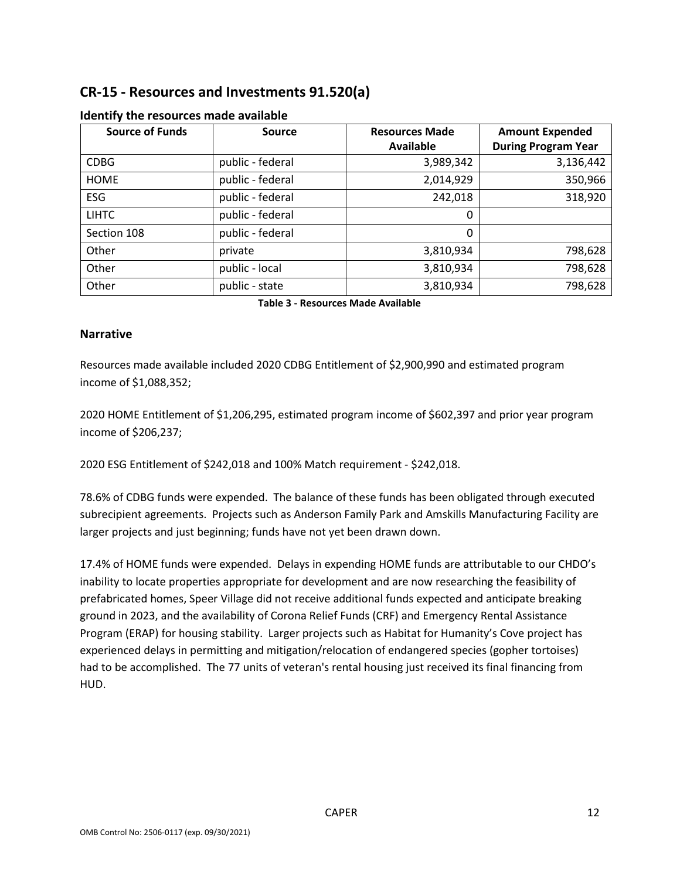## **CR-15 - Resources and Investments 91.520(a)**

| <b>Source of Funds</b> | <b>Source</b>    | <b>Resources Made</b> | <b>Amount Expended</b>     |
|------------------------|------------------|-----------------------|----------------------------|
|                        |                  | <b>Available</b>      | <b>During Program Year</b> |
| <b>CDBG</b>            | public - federal | 3,989,342             | 3,136,442                  |
| <b>HOME</b>            | public - federal | 2,014,929             | 350,966                    |
| <b>ESG</b>             | public - federal | 242,018               | 318,920                    |
| <b>LIHTC</b>           | public - federal | 0                     |                            |
| Section 108            | public - federal | 0                     |                            |
| Other                  | private          | 3,810,934             | 798,628                    |
| Other                  | public - local   | 3,810,934             | 798,628                    |
| Other                  | public - state   | 3,810,934             | 798,628                    |

### **Identify the resources made available**

 **Table 3 - Resources Made Available** 

### **Narrative**

Resources made available included 2020 CDBG Entitlement of \$2,900,990 and estimated program income of \$1,088,352;

 2020 HOME Entitlement of \$1,206,295, estimated program income of \$602,397 and prior year program income of \$206,237;

2020 ESG Entitlement of \$242,018 and 100% Match requirement - \$242,018.

 78.6% of CDBG funds were expended. The balance of these funds has been obligated through executed subrecipient agreements. Projects such as Anderson Family Park and Amskills Manufacturing Facility are larger projects and just beginning; funds have not yet been drawn down.

 17.4% of HOME funds were expended. Delays in expending HOME funds are attributable to our CHDO's Program (ERAP) for housing stability. Larger projects such as Habitat for Humanity's Cove project has had to be accomplished. The 77 units of veteran's rental housing just received its final financing from inability to locate properties appropriate for development and are now researching the feasibility of prefabricated homes, Speer Village did not receive additional funds expected and anticipate breaking ground in 2023, and the availability of Corona Relief Funds (CRF) and Emergency Rental Assistance experienced delays in permitting and mitigation/relocation of endangered species (gopher tortoises) HUD.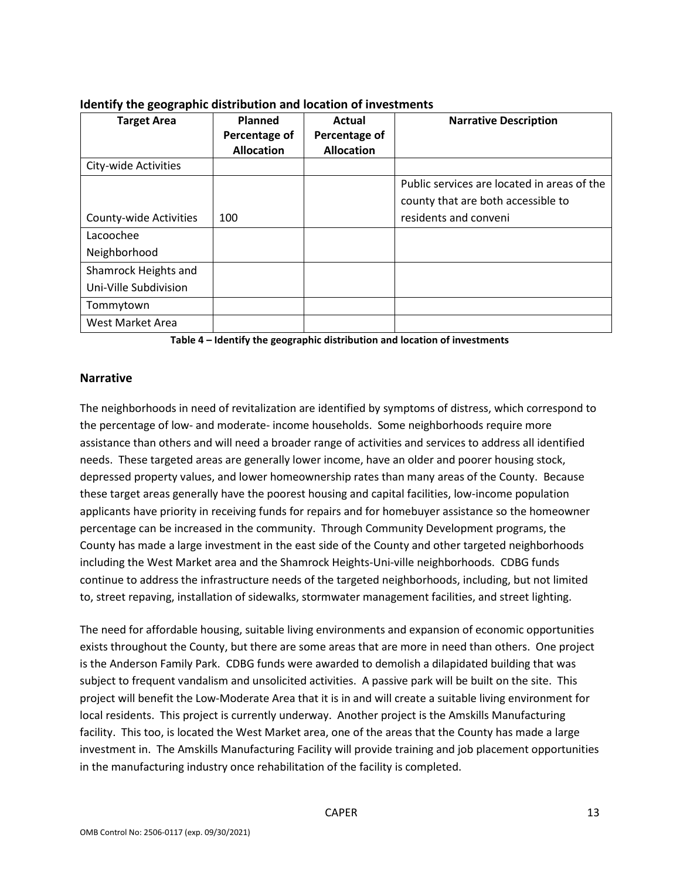| <b>Target Area</b>     | Planned<br>Percentage of | Actual<br>Percentage of | <b>Narrative Description</b>                |
|------------------------|--------------------------|-------------------------|---------------------------------------------|
|                        | <b>Allocation</b>        | <b>Allocation</b>       |                                             |
| City-wide Activities   |                          |                         |                                             |
|                        |                          |                         | Public services are located in areas of the |
|                        |                          |                         | county that are both accessible to          |
| County-wide Activities | 100                      |                         | residents and conveni                       |
| Lacoochee              |                          |                         |                                             |
| Neighborhood           |                          |                         |                                             |
| Shamrock Heights and   |                          |                         |                                             |
| Uni-Ville Subdivision  |                          |                         |                                             |
| Tommytown              |                          |                         |                                             |
| West Market Area       |                          |                         |                                             |

### **Identify the geographic distribution and location of investments**

 **Table 4 – Identify the geographic distribution and location of investments** 

#### **Narrative**

 the percentage of low- and moderate- income households. Some neighborhoods require more assistance than others and will need a broader range of activities and services to address all identified needs. These targeted areas are generally lower income, have an older and poorer housing stock, depressed property values, and lower homeownership rates than many areas of the County. Because these target areas generally have the poorest housing and capital facilities, low-income population percentage can be increased in the community. Through Community Development programs, the including the West Market area and the Shamrock Heights-Uni-ville neighborhoods. CDBG funds continue to address the infrastructure needs of the targeted neighborhoods, including, but not limited The neighborhoods in need of revitalization are identified by symptoms of distress, which correspond to applicants have priority in receiving funds for repairs and for homebuyer assistance so the homeowner County has made a large investment in the east side of the County and other targeted neighborhoods to, street repaving, installation of sidewalks, stormwater management facilities, and street lighting.

 exists throughout the County, but there are some areas that are more in need than others. One project is the Anderson Family Park. CDBG funds were awarded to demolish a dilapidated building that was subject to frequent vandalism and unsolicited activities. A passive park will be built on the site. This local residents. This project is currently underway. Another project is the Amskills Manufacturing facility. This too, is located the West Market area, one of the areas that the County has made a large investment in. The Amskills Manufacturing Facility will provide training and job placement opportunities in the manufacturing industry once rehabilitation of the facility is completed.<br>CAPER 13 The need for affordable housing, suitable living environments and expansion of economic opportunities project will benefit the Low-Moderate Area that it is in and will create a suitable living environment for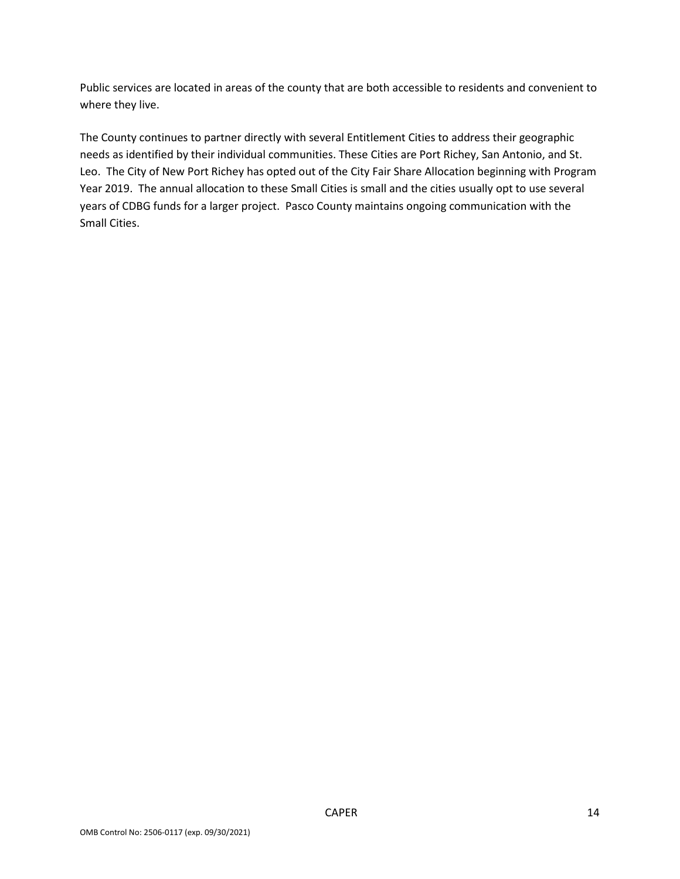Public services are located in areas of the county that are both accessible to residents and convenient to where they live.

 Leo. The City of New Port Richey has opted out of the City Fair Share Allocation beginning with Program Year 2019. The annual allocation to these Small Cities is small and the cities usually opt to use several years of CDBG funds for a larger project. Pasco County maintains ongoing communication with the The County continues to partner directly with several Entitlement Cities to address their geographic needs as identified by their individual communities. These Cities are Port Richey, San Antonio, and St. Small Cities.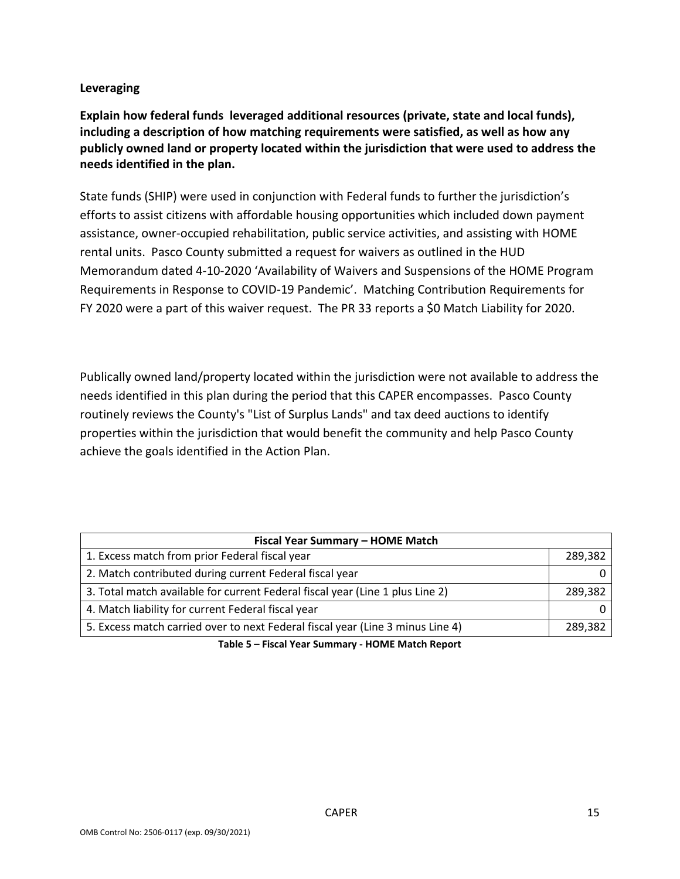### **Leveraging**

 **Explain how federal funds leveraged additional resources (private, state and local funds), including a description of how matching requirements were satisfied, as well as how any publicly owned land or property located within the jurisdiction that were used to address the needs identified in the plan.** 

 assistance, owner-occupied rehabilitation, public service activities, and assisting with HOME rental units. Pasco County submitted a request for waivers as outlined in the HUD Requirements in Response to COVID-19 Pandemic'. Matching Contribution Requirements for FY 2020 were a part of this waiver request. The PR 33 reports a \$0 Match Liability for 2020. State funds (SHIP) were used in conjunction with Federal funds to further the jurisdiction's efforts to assist citizens with affordable housing opportunities which included down payment Memorandum dated 4-10-2020 'Availability of Waivers and Suspensions of the HOME Program

 Publically owned land/property located within the jurisdiction were not available to address the needs identified in this plan during the period that this CAPER encompasses. Pasco County achieve the goals identified in the Action Plan. routinely reviews the County's "List of Surplus Lands" and tax deed auctions to identify properties within the jurisdiction that would benefit the community and help Pasco County

| Fiscal Year Summary - HOME Match                                               |         |  |  |  |  |  |
|--------------------------------------------------------------------------------|---------|--|--|--|--|--|
| 1. Excess match from prior Federal fiscal year                                 | 289,382 |  |  |  |  |  |
| 2. Match contributed during current Federal fiscal year                        |         |  |  |  |  |  |
| 3. Total match available for current Federal fiscal year (Line 1 plus Line 2)  | 289.382 |  |  |  |  |  |
| 4. Match liability for current Federal fiscal year                             |         |  |  |  |  |  |
| 5. Excess match carried over to next Federal fiscal year (Line 3 minus Line 4) | 289.382 |  |  |  |  |  |

 **Table 5 – Fiscal Year Summary - HOME Match Report**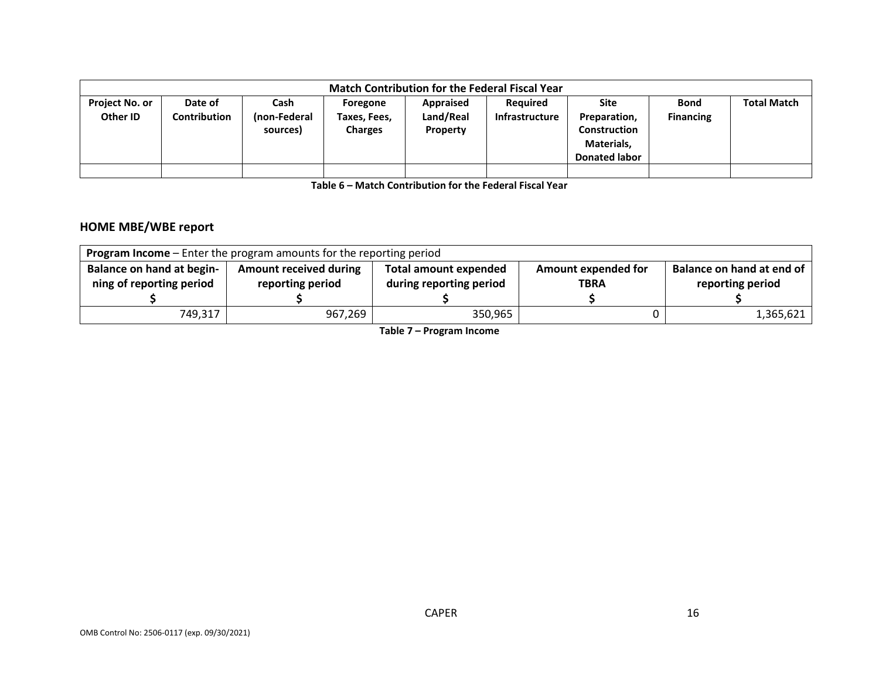|                            | <b>Match Contribution for the Federal Fiscal Year</b> |                                  |                                            |                                    |                                   |                                                                                   |                                 |                    |
|----------------------------|-------------------------------------------------------|----------------------------------|--------------------------------------------|------------------------------------|-----------------------------------|-----------------------------------------------------------------------------------|---------------------------------|--------------------|
| Project No. or<br>Other ID | Date of<br>Contribution                               | Cash<br>(non-Federal<br>sources) | Foregone<br>Taxes, Fees,<br><b>Charges</b> | Appraised<br>Land/Real<br>Property | <b>Required</b><br>Infrastructure | Site<br>Preparation,<br><b>Construction</b><br>Materials,<br><b>Donated labor</b> | <b>Bond</b><br><b>Financing</b> | <b>Total Match</b> |
|                            |                                                       |                                  |                                            |                                    |                                   |                                                                                   |                                 |                    |

 **Table 6 – Match Contribution for the Federal Fiscal Year** 

### **HOME MBE/WBE report**

| <b>Program Income</b> – Enter the program amounts for the reporting period |                                                   |                                                         |                                    |                                               |  |  |
|----------------------------------------------------------------------------|---------------------------------------------------|---------------------------------------------------------|------------------------------------|-----------------------------------------------|--|--|
| Balance on hand at begin-<br>ning of reporting period                      | <b>Amount received during</b><br>reporting period | <b>Total amount expended</b><br>during reporting period | Amount expended for<br><b>TBRA</b> | Balance on hand at end of<br>reporting period |  |  |
| 749,317                                                                    | 967,269                                           | 350.965                                                 |                                    | 1,365,621                                     |  |  |

 **Table 7 – Program Income**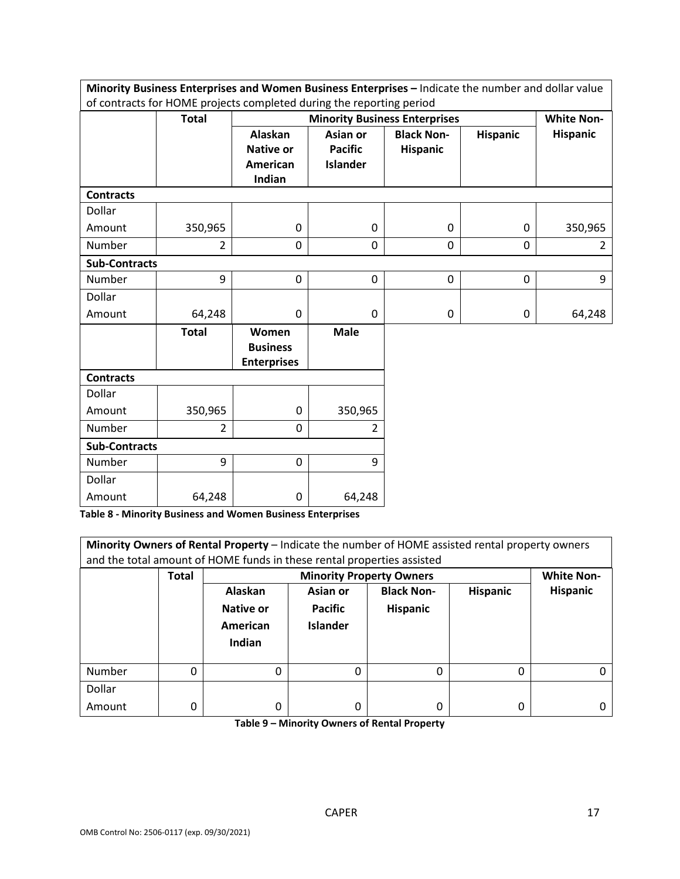|                      | Minority Business Enterprises and Women Business Enterprises - Indicate the number and dollar value |                    |                 |                                      |                 |                   |  |
|----------------------|-----------------------------------------------------------------------------------------------------|--------------------|-----------------|--------------------------------------|-----------------|-------------------|--|
|                      | of contracts for HOME projects completed during the reporting period                                |                    |                 |                                      |                 |                   |  |
|                      | <b>Total</b>                                                                                        |                    |                 | <b>Minority Business Enterprises</b> |                 | <b>White Non-</b> |  |
|                      |                                                                                                     | <b>Alaskan</b>     | Asian or        | <b>Black Non-</b>                    | <b>Hispanic</b> | <b>Hispanic</b>   |  |
|                      |                                                                                                     | <b>Native or</b>   | <b>Pacific</b>  | <b>Hispanic</b>                      |                 |                   |  |
|                      |                                                                                                     | <b>American</b>    | <b>Islander</b> |                                      |                 |                   |  |
|                      |                                                                                                     | Indian             |                 |                                      |                 |                   |  |
| <b>Contracts</b>     |                                                                                                     |                    |                 |                                      |                 |                   |  |
| Dollar               |                                                                                                     |                    |                 |                                      |                 |                   |  |
| Amount               | 350,965                                                                                             | 0                  | 0               | $\mathbf 0$                          | $\mathbf 0$     | 350,965           |  |
| Number               | $\overline{2}$                                                                                      | 0                  | 0               | 0                                    | $\mathbf 0$     | 2                 |  |
| <b>Sub-Contracts</b> |                                                                                                     |                    |                 |                                      |                 |                   |  |
| Number               | 9                                                                                                   | $\mathbf 0$        | 0               | $\mathbf 0$                          | $\mathbf 0$     | 9                 |  |
| Dollar               |                                                                                                     |                    |                 |                                      |                 |                   |  |
| Amount               | 64,248                                                                                              | 0                  | 0               | 0                                    | 0               | 64,248            |  |
|                      | <b>Total</b>                                                                                        | Women              | <b>Male</b>     |                                      |                 |                   |  |
|                      |                                                                                                     | <b>Business</b>    |                 |                                      |                 |                   |  |
|                      |                                                                                                     | <b>Enterprises</b> |                 |                                      |                 |                   |  |
| <b>Contracts</b>     |                                                                                                     |                    |                 |                                      |                 |                   |  |
| Dollar               |                                                                                                     |                    |                 |                                      |                 |                   |  |
| Amount               | 350,965                                                                                             | 0                  | 350,965         |                                      |                 |                   |  |
| Number               | $\overline{2}$                                                                                      | 0                  | 2               |                                      |                 |                   |  |
| <b>Sub-Contracts</b> |                                                                                                     |                    |                 |                                      |                 |                   |  |
| Number               | 9                                                                                                   | 0                  | 9               |                                      |                 |                   |  |
| Dollar               |                                                                                                     |                    |                 |                                      |                 |                   |  |
| Amount               | 64,248                                                                                              | 0                  | 64,248          |                                      |                 |                   |  |

 **Table 8 - Minority Business and Women Business Enterprises** 

|        | Minority Owners of Rental Property - Indicate the number of HOME assisted rental property owners<br>and the total amount of HOME funds in these rental properties assisted |                                            |                                               |                                      |                 |                 |  |
|--------|----------------------------------------------------------------------------------------------------------------------------------------------------------------------------|--------------------------------------------|-----------------------------------------------|--------------------------------------|-----------------|-----------------|--|
|        | <b>Minority Property Owners</b><br><b>White Non-</b><br><b>Total</b>                                                                                                       |                                            |                                               |                                      |                 |                 |  |
|        |                                                                                                                                                                            | Alaskan<br>Native or<br>American<br>Indian | Asian or<br><b>Pacific</b><br><b>Islander</b> | <b>Black Non-</b><br><b>Hispanic</b> | <b>Hispanic</b> | <b>Hispanic</b> |  |
| Number | 0                                                                                                                                                                          | 0                                          | 0                                             | 0                                    | 0               |                 |  |
| Dollar |                                                                                                                                                                            |                                            |                                               |                                      |                 |                 |  |
| Amount | 0                                                                                                                                                                          | 0                                          | 0                                             | 0                                    | 0               |                 |  |

 **Table 9 – Minority Owners of Rental Property**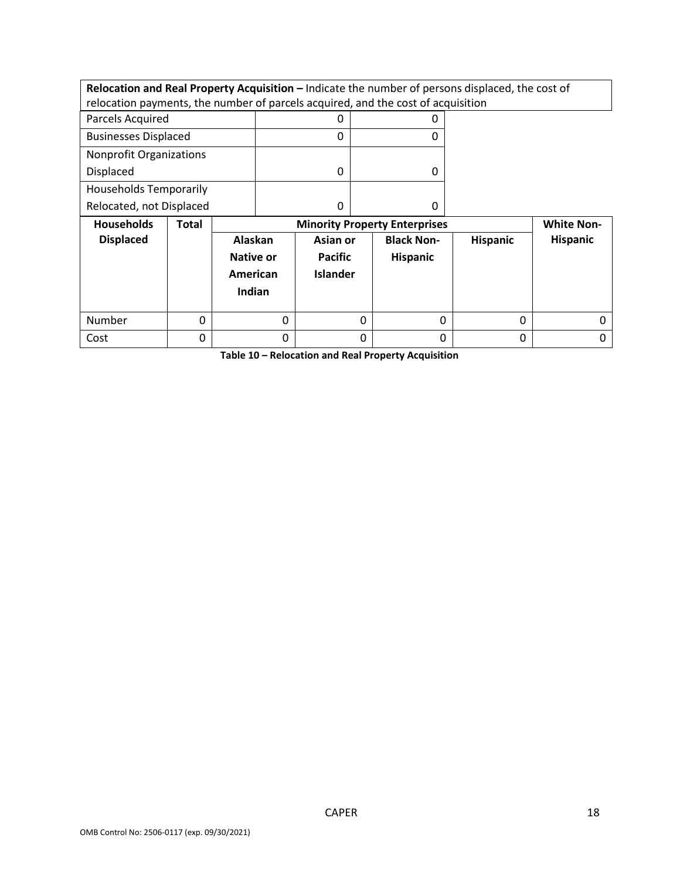**Relocation and Real Property Acquisition –** Indicate the number of persons displaced, the cost of relocation payments, the number of parcels acquired, and the cost of acquisition

| Parcels Acquired               |  |
|--------------------------------|--|
| <b>Businesses Displaced</b>    |  |
| <b>Nonprofit Organizations</b> |  |
| Displaced                      |  |
| <b>Households Temporarily</b>  |  |
| Relocated, not Displaced       |  |

| <b>Households</b> | Total |                                                   | <b>Minority Property Enterprises</b>          |                                      |                 |          |  |
|-------------------|-------|---------------------------------------------------|-----------------------------------------------|--------------------------------------|-----------------|----------|--|
| <b>Displaced</b>  |       | Alaskan<br><b>Native or</b><br>American<br>Indian | Asian or<br><b>Pacific</b><br><b>Islander</b> | <b>Black Non-</b><br><b>Hispanic</b> | <b>Hispanic</b> | Hispanic |  |
| Number            |       |                                                   | 0                                             | 0                                    | 0               |          |  |
| Cost              |       |                                                   |                                               |                                      | 0               |          |  |

 **Table 10 – Relocation and Real Property Acquisition**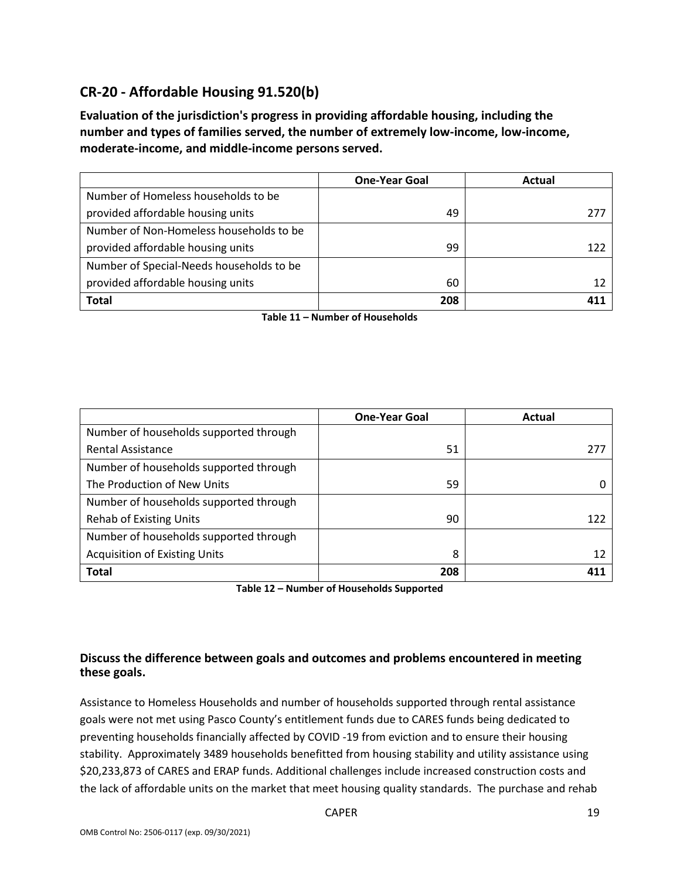## **CR-20 - Affordable Housing 91.520(b)**

 **number and types of families served, the number of extremely low-income, low-income, Evaluation of the jurisdiction's progress in providing affordable housing, including the moderate-income, and middle-income persons served.** 

|                                          | <b>One-Year Goal</b> | Actual |
|------------------------------------------|----------------------|--------|
| Number of Homeless households to be      |                      |        |
| provided affordable housing units        | 49                   | 277    |
| Number of Non-Homeless households to be  |                      |        |
| provided affordable housing units        | 99                   | 122    |
| Number of Special-Needs households to be |                      |        |
| provided affordable housing units        | 60                   | 12     |
| <b>Total</b>                             | 208                  |        |

 **Table 11 – Number of Households** 

|                                        | <b>One-Year Goal</b> | Actual |
|----------------------------------------|----------------------|--------|
| Number of households supported through |                      |        |
| <b>Rental Assistance</b>               | 51                   | 277    |
| Number of households supported through |                      |        |
| The Production of New Units            | 59                   |        |
| Number of households supported through |                      |        |
| <b>Rehab of Existing Units</b>         | 90                   | 122    |
| Number of households supported through |                      |        |
| <b>Acquisition of Existing Units</b>   | 8                    | 12     |
| <b>Total</b>                           | 208                  |        |

 **Table 12 – Number of Households Supported** 

### **Discuss the difference between goals and outcomes and problems encountered in meeting these goals.**

 goals were not met using Pasco County's entitlement funds due to CARES funds being dedicated to stability. Approximately 3489 households benefitted from housing stability and utility assistance using the lack of affordable units on the market that meet housing quality standards. The purchase and rehab Assistance to Homeless Households and number of households supported through rental assistance preventing households financially affected by COVID -19 from eviction and to ensure their housing \$20,233,873 of CARES and ERAP funds. Additional challenges include increased construction costs and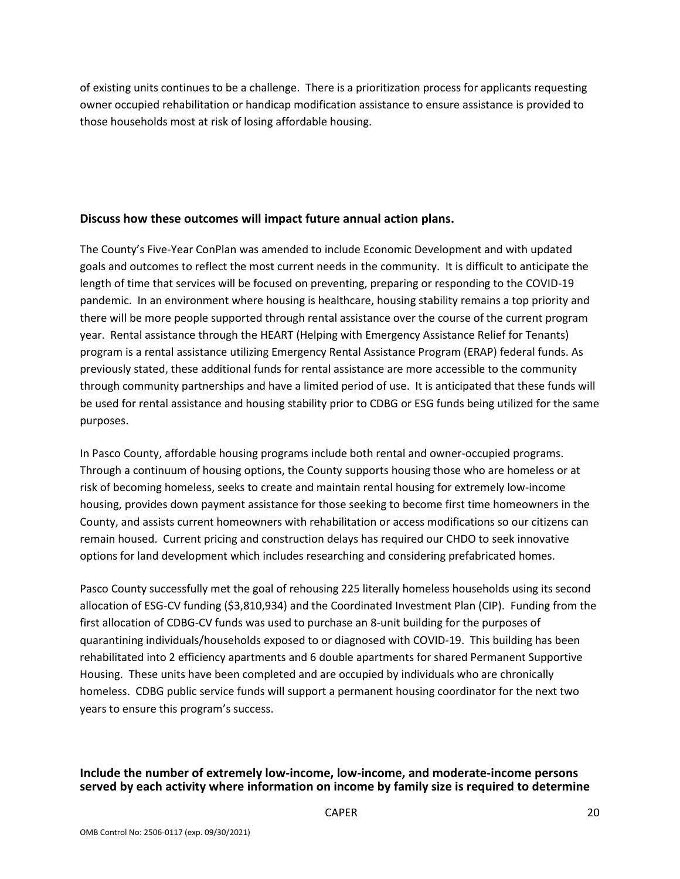of existing units continues to be a challenge. There is a prioritization process for applicants requesting those households most at risk of losing affordable housing. owner occupied rehabilitation or handicap modification assistance to ensure assistance is provided to

### **Discuss how these outcomes will impact future annual action plans.**

 goals and outcomes to reflect the most current needs in the community. It is difficult to anticipate the pandemic. In an environment where housing is healthcare, housing stability remains a top priority and year. Rental assistance through the HEART (Helping with Emergency Assistance Relief for Tenants) program is a rental assistance utilizing Emergency Rental Assistance Program (ERAP) federal funds. As previously stated, these additional funds for rental assistance are more accessible to the community through community partnerships and have a limited period of use. It is anticipated that these funds will be used for rental assistance and housing stability prior to CDBG or ESG funds being utilized for the same The County's Five-Year ConPlan was amended to include Economic Development and with updated length of time that services will be focused on preventing, preparing or responding to the COVID-19 there will be more people supported through rental assistance over the course of the current program purposes.

 County, and assists current homeowners with rehabilitation or access modifications so our citizens can remain housed. Current pricing and construction delays has required our CHDO to seek innovative In Pasco County, affordable housing programs include both rental and owner-occupied programs. Through a continuum of housing options, the County supports housing those who are homeless or at risk of becoming homeless, seeks to create and maintain rental housing for extremely low-income housing, provides down payment assistance for those seeking to become first time homeowners in the options for land development which includes researching and considering prefabricated homes.

 allocation of ESG-CV funding (\$3,810,934) and the Coordinated Investment Plan (CIP). Funding from the quarantining individuals/households exposed to or diagnosed with COVID-19. This building has been Housing. These units have been completed and are occupied by individuals who are chronically homeless. CDBG public service funds will support a permanent housing coordinator for the next two Pasco County successfully met the goal of rehousing 225 literally homeless households using its second first allocation of CDBG-CV funds was used to purchase an 8-unit building for the purposes of rehabilitated into 2 efficiency apartments and 6 double apartments for shared Permanent Supportive years to ensure this program's success.

### **Include the number of extremely low-income, low-income, and moderate-income persons served by each activity where information on income by family size is required to determine**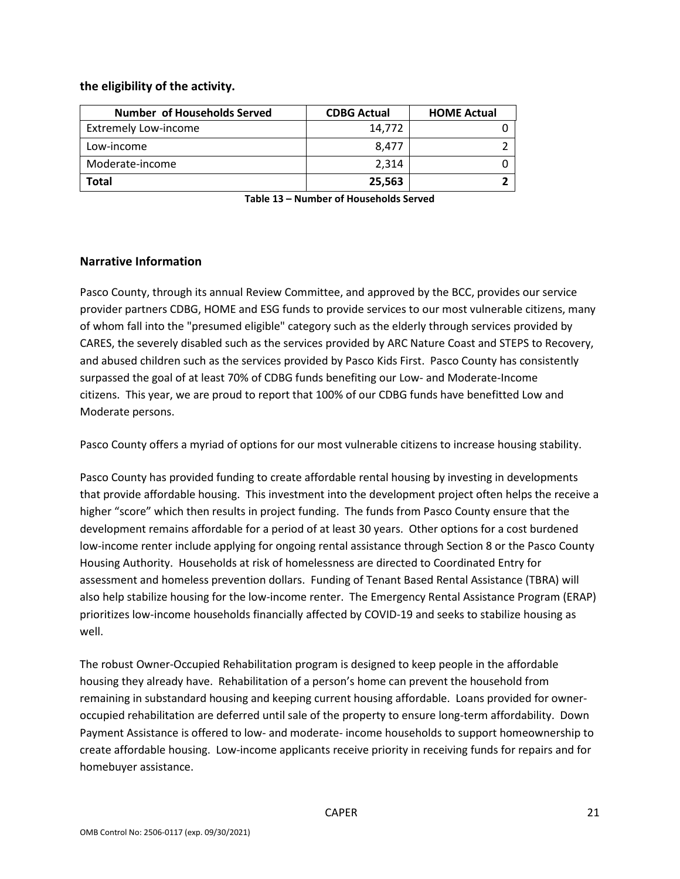### **the eligibility of the activity.**

| Number of Households Served | <b>CDBG Actual</b> | <b>HOME Actual</b> |
|-----------------------------|--------------------|--------------------|
| <b>Extremely Low-income</b> | 14,772             |                    |
| Low-income                  | 8.477              |                    |
| Moderate-income             | 2.314              |                    |
| Total                       | 25,563             |                    |

 **Table 13 – Number of Households Served** 

### **Narrative Information**

 provider partners CDBG, HOME and ESG funds to provide services to our most vulnerable citizens, many and abused children such as the services provided by Pasco Kids First. Pasco County has consistently citizens. This year, we are proud to report that 100% of our CDBG funds have benefitted Low and Pasco County, through its annual Review Committee, and approved by the BCC, provides our service of whom fall into the "presumed eligible" category such as the elderly through services provided by CARES, the severely disabled such as the services provided by ARC Nature Coast and STEPS to Recovery, surpassed the goal of at least 70% of CDBG funds benefiting our Low- and Moderate-Income Moderate persons.

Pasco County offers a myriad of options for our most vulnerable citizens to increase housing stability.<br>Pasco County has provided funding to create affordable rental housing by investing in developments that provide affordable housing. This investment into the development project often helps the receive a higher "score" which then results in project funding. The funds from Pasco County ensure that the development remains affordable for a period of at least 30 years. Other options for a cost burdened Housing Authority. Households at risk of homelessness are directed to Coordinated Entry for assessment and homeless prevention dollars. Funding of Tenant Based Rental Assistance (TBRA) will also help stabilize housing for the low-income renter. The Emergency Rental Assistance Program (ERAP) low-income renter include applying for ongoing rental assistance through Section 8 or the Pasco County prioritizes low-income households financially affected by COVID-19 and seeks to stabilize housing as well.

 housing they already have. Rehabilitation of a person's home can prevent the household from remaining in substandard housing and keeping current housing affordable. Loans provided for owner- occupied rehabilitation are deferred until sale of the property to ensure long-term affordability. Down Payment Assistance is offered to low- and moderate- income households to support homeownership to create affordable housing. Low-income applicants receive priority in receiving funds for repairs and for The robust Owner-Occupied Rehabilitation program is designed to keep people in the affordable homebuyer assistance.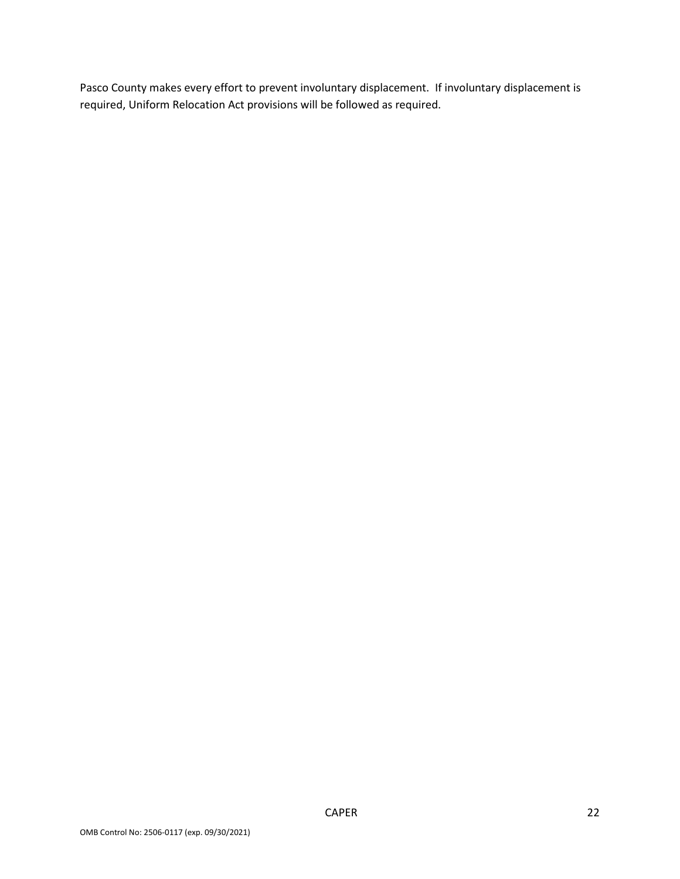Pasco County makes every effort to prevent involuntary displacement. If involuntary displacement is required, Uniform Relocation Act provisions will be followed as required.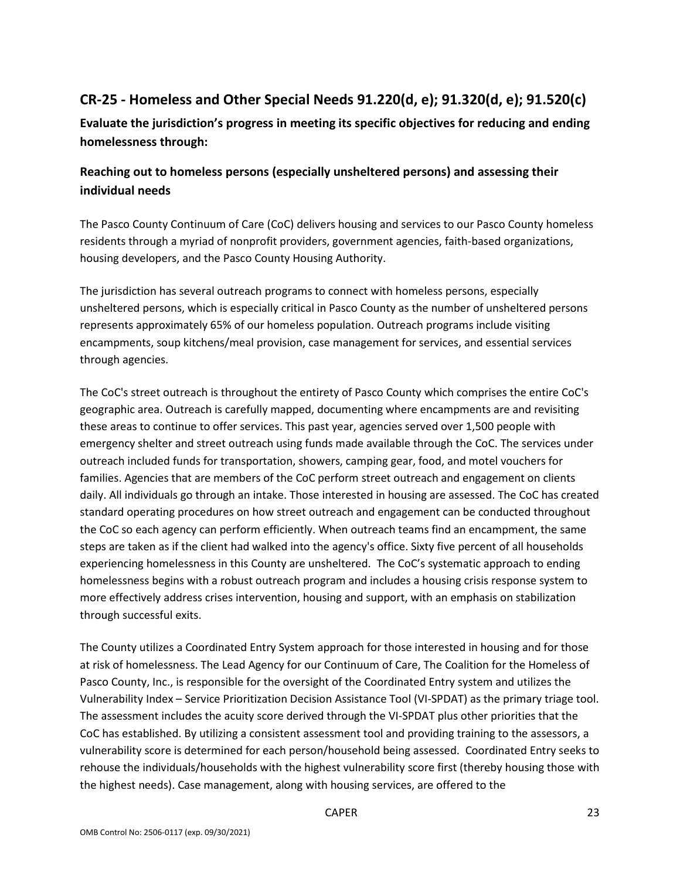# **CR-25 - Homeless and Other Special Needs 91.220(d, e); 91.320(d, e); 91.520(c)**

**Evaluate the jurisdiction's progress in meeting its specific objectives for reducing and ending homelessness through:** 

## **Reaching out to homeless persons (especially unsheltered persons) and assessing their individual needs**

 The Pasco County Continuum of Care (CoC) delivers housing and services to our Pasco County homeless residents through a myriad of nonprofit providers, government agencies, faith-based organizations, housing developers, and the Pasco County Housing Authority.

The jurisdiction has several outreach programs to connect with homeless persons, especially unsheltered persons, which is especially critical in Pasco County as the number of unsheltered persons represents approximately 65% of our homeless population. Outreach programs include visiting encampments, soup kitchens/meal provision, case management for services, and essential services through agencies.

 these areas to continue to offer services. This past year, agencies served over 1,500 people with The CoC's street outreach is throughout the entirety of Pasco County which comprises the entire CoC's geographic area. Outreach is carefully mapped, documenting where encampments are and revisiting emergency shelter and street outreach using funds made available through the CoC. The services under outreach included funds for transportation, showers, camping gear, food, and motel vouchers for families. Agencies that are members of the CoC perform street outreach and engagement on clients daily. All individuals go through an intake. Those interested in housing are assessed. The CoC has created standard operating procedures on how street outreach and engagement can be conducted throughout the CoC so each agency can perform efficiently. When outreach teams find an encampment, the same steps are taken as if the client had walked into the agency's office. Sixty five percent of all households experiencing homelessness in this County are unsheltered. The CoC's systematic approach to ending homelessness begins with a robust outreach program and includes a housing crisis response system to more effectively address crises intervention, housing and support, with an emphasis on stabilization through successful exits.

 The County utilizes a Coordinated Entry System approach for those interested in housing and for those Pasco County, Inc., is responsible for the oversight of the Coordinated Entry system and utilizes the Vulnerability Index – Service Prioritization Decision Assistance Tool (VI-SPDAT) as the primary triage tool. vulnerability score is determined for each person/household being assessed. Coordinated Entry seeks to at risk of homelessness. The Lead Agency for our Continuum of Care, The Coalition for the Homeless of The assessment includes the acuity score derived through the VI-SPDAT plus other priorities that the CoC has established. By utilizing a consistent assessment tool and providing training to the assessors, a rehouse the individuals/households with the highest vulnerability score first (thereby housing those with the highest needs). Case management, along with housing services, are offered to the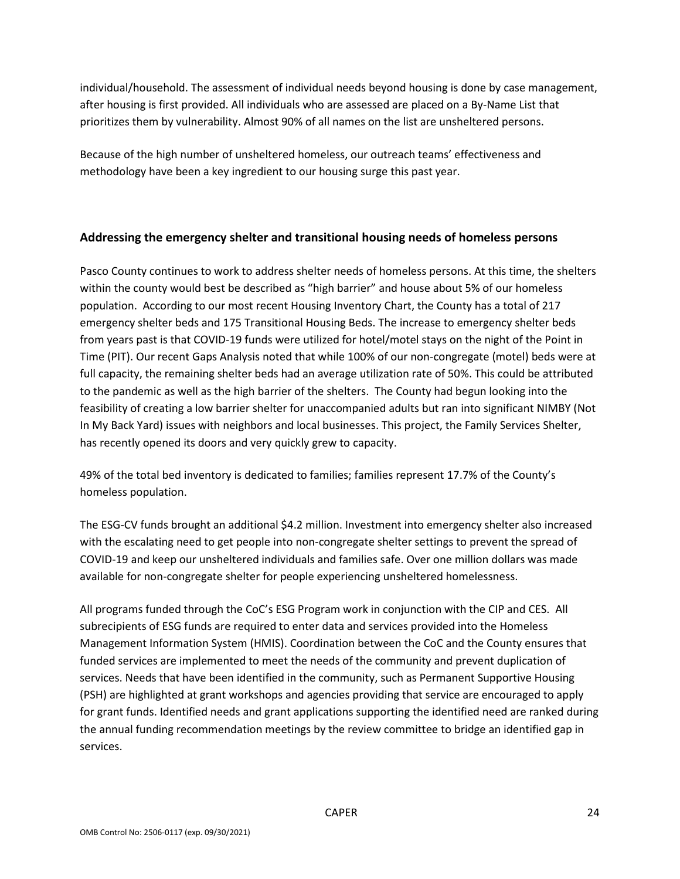individual/household. The assessment of individual needs beyond housing is done by case management, after housing is first provided. All individuals who are assessed are placed on a By-Name List that prioritizes them by vulnerability. Almost 90% of all names on the list are unsheltered persons.

Because of the high number of unsheltered homeless, our outreach teams' effectiveness and methodology have been a key ingredient to our housing surge this past year.

### **Addressing the emergency shelter and transitional housing needs of homeless persons**

 within the county would best be described as "high barrier" and house about 5% of our homeless population. According to our most recent Housing Inventory Chart, the County has a total of 217 from years past is that COVID-19 funds were utilized for hotel/motel stays on the night of the Point in Time (PIT). Our recent Gaps Analysis noted that while 100% of our non-congregate (motel) beds were at to the pandemic as well as the high barrier of the shelters. The County had begun looking into the In My Back Yard) issues with neighbors and local businesses. This project, the Family Services Shelter, has recently opened its doors and very quickly grew to capacity. Pasco County continues to work to address shelter needs of homeless persons. At this time, the shelters emergency shelter beds and 175 Transitional Housing Beds. The increase to emergency shelter beds full capacity, the remaining shelter beds had an average utilization rate of 50%. This could be attributed feasibility of creating a low barrier shelter for unaccompanied adults but ran into significant NIMBY (Not

49% of the total bed inventory is dedicated to families; families represent 17.7% of the County's homeless population.

 with the escalating need to get people into non-congregate shelter settings to prevent the spread of COVID-19 and keep our unsheltered individuals and families safe. Over one million dollars was made The ESG-CV funds brought an additional \$4.2 million. Investment into emergency shelter also increased available for non-congregate shelter for people experiencing unsheltered homelessness.

 All programs funded through the CoC's ESG Program work in conjunction with the CIP and CES. All Management Information System (HMIS). Coordination between the CoC and the County ensures that (PSH) are highlighted at grant workshops and agencies providing that service are encouraged to apply the annual funding recommendation meetings by the review committee to bridge an identified gap in subrecipients of ESG funds are required to enter data and services provided into the Homeless funded services are implemented to meet the needs of the community and prevent duplication of services. Needs that have been identified in the community, such as Permanent Supportive Housing for grant funds. Identified needs and grant applications supporting the identified need are ranked during services.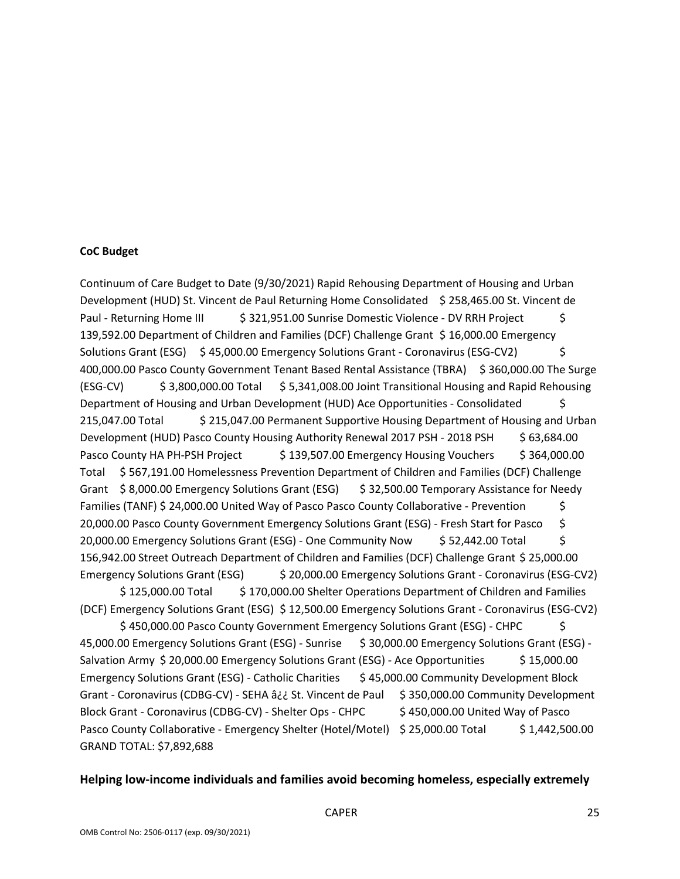#### **CoC Budget**

 Continuum of Care Budget to Date (9/30/2021) Rapid Rehousing Department of Housing and Urban Paul - Returning Home III  $\frac{1}{5}$  [321,951.00](https://321,951.00) Sunrise Domestic Violence - DV RRH Project  $\frac{1}{5}$ Solutions Grant (ESG) \$45,000.00 Emergency Solutions Grant - Coronavirus (ESG-CV2) \$ Development (HUD) Pasco County Housing Authority Renewal 2017 PSH - 2018 PSH \$ 63,684.00 Total \$ [567,191.00](https://567,191.00) Homelessness Prevention Department of Children and Families (DCF) Challenge Families (TANF) \$ [24,000.00](https://24,000.00) United Way of Pasco Pasco County Collaborative - Prevention \$ \$ [125,000.00](https://125,000.00) Total \$ [170,000.00](https://170,000.00) Shelter Operations Department of Children and Families (DCF) Emergency Solutions Grant (ESG) \$ [12,500.00](https://12,500.00) Emergency Solutions Grant - Coronavirus (ESG-CV2) \$ [450,000.00](https://450,000.00) Pasco County Government Emergency Solutions Grant (ESG) - CHPC \$ Grant - Coronavirus (CDBG-CV) - SEHA â¿¿ St. Vincent de Paul \$ [350,000.00](https://350,000.00) Community Development \$450,000.00 United Way of Pasco Development (HUD) St. Vincent de Paul Returning Home Consolidated \$ [258,465.00](https://258,465.00) St. Vincent de [139,592.00](https://139,592.00) Department of Children and Families (DCF) Challenge Grant \$16,000.00 Emergency [400,000.00](https://400,000.00) Pasco County Government Tenant Based Rental Assistance (TBRA) \$ [360,000.00](https://360,000.00) The Surge (ESG-CV) \$ [3,800,000.00](https://3,800,000.00) Total \$ [5,341,008.00](https://5,341,008.00) Joint Transitional Housing and Rapid Rehousing Department of Housing and Urban Development (HUD) Ace Opportunities - Consolidated \$ [215,047.00](https://215,047.00) Total \$ [215,047.00](https://215,047.00) Permanent Supportive Housing Department of Housing and Urban Pasco County HA PH-PSH Project \$139,507.00 Emergency Housing Vouchers \$364,000.00 Grant \$8,000.00 Emergency Solutions Grant (ESG) \$32,500.00 Temporary Assistance for Needy [20,000.00](https://20,000.00) Pasco County Government Emergency Solutions Grant (ESG) - Fresh Start for Pasco \$ [20,000.00](https://20,000.00) Emergency Solutions Grant (ESG) - One Community Now \$ [52,442.00](https://52,442.00) Total \$ [156,942.00](https://156,942.00) Street Outreach Department of Children and Families (DCF) Challenge Grant \$ [25,000.00](https://25,000.00)  Emergency Solutions Grant (ESG) \$ [20,000.00](https://20,000.00) Emergency Solutions Grant - Coronavirus (ESG-CV2) [45,000.00](https://45,000.00) Emergency Solutions Grant (ESG) - Sunrise \$ [30,000.00](https://30,000.00) Emergency Solutions Grant (ESG) - Salvation Army \$ [20,000.00](https://20,000.00) Emergency Solutions Grant (ESG) - Ace Opportunities \$ 15,000.00 Emergency Solutions Grant (ESG) - Catholic Charities \$45,000.00 Community Development Block Block Grant - Coronavirus (CDBG-CV) - Shelter Ops - CHPC Pasco County Collaborative - Emergency Shelter (Hotel/Motel) \$ [25,000.00](https://25,000.00) Total \$ 1,442,500.00 GRAND TOTAL: \$7,892,688

#### **Helping low-income individuals and families avoid becoming homeless, especially extremely**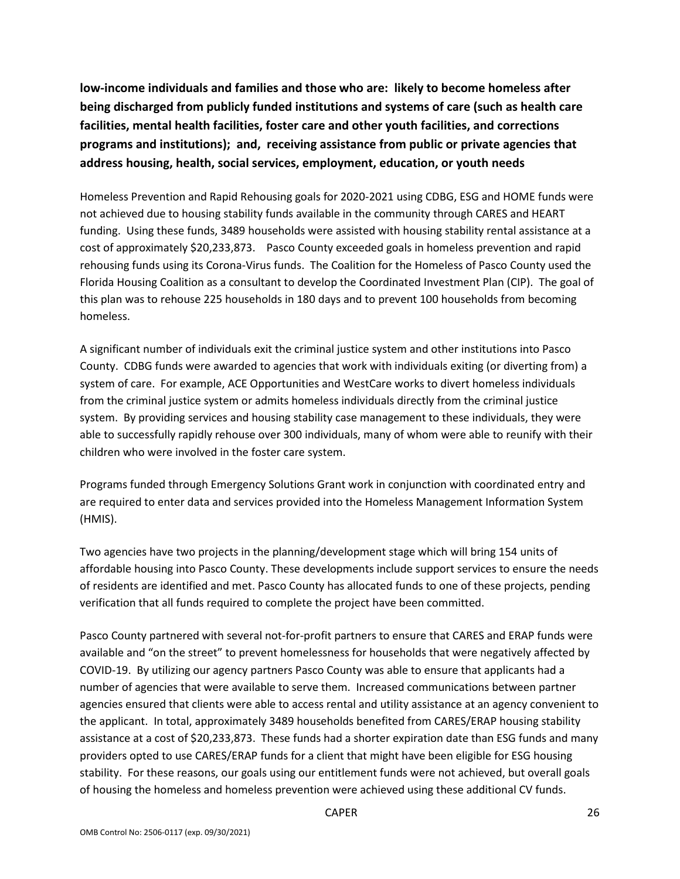**low-income individuals and families and those who are: likely to become homeless after being discharged from publicly funded institutions and systems of care (such as health care facilities, mental health facilities, foster care and other youth facilities, and corrections programs and institutions); and, receiving assistance from public or private agencies that address housing, health, social services, employment, education, or youth needs** 

 Homeless Prevention and Rapid Rehousing goals for 2020-2021 using CDBG, ESG and HOME funds were funding. Using these funds, 3489 households were assisted with housing stability rental assistance at a cost of approximately \$20,233,873. Pasco County exceeded goals in homeless prevention and rapid rehousing funds using its Corona-Virus funds. The Coalition for the Homeless of Pasco County used the Florida Housing Coalition as a consultant to develop the Coordinated Investment Plan (CIP). The goal of this plan was to rehouse 225 households in 180 days and to prevent 100 households from becoming not achieved due to housing stability funds available in the community through CARES and HEART homeless.

 A significant number of individuals exit the criminal justice system and other institutions into Pasco County. CDBG funds were awarded to agencies that work with individuals exiting (or diverting from) a system of care. For example, ACE Opportunities and WestCare works to divert homeless individuals system. By providing services and housing stability case management to these individuals, they were able to successfully rapidly rehouse over 300 individuals, many of whom were able to reunify with their children who were involved in the foster care system. from the criminal justice system or admits homeless individuals directly from the criminal justice

(HMIS). Programs funded through Emergency Solutions Grant work in conjunction with coordinated entry and are required to enter data and services provided into the Homeless Management Information System

(HMIS).<br>Two agencies have two projects in the planning/development stage which will bring 154 units of of residents are identified and met. Pasco County has allocated funds to one of these projects, pending affordable housing into Pasco County. These developments include support services to ensure the needs verification that all funds required to complete the project have been committed.

 COVID-19. By utilizing our agency partners Pasco County was able to ensure that applicants had a number of agencies that were available to serve them. Increased communications between partner the applicant. In total, approximately 3489 households benefited from CARES/ERAP housing stability assistance at a cost of \$20,233,873. These funds had a shorter expiration date than ESG funds and many stability. For these reasons, our goals using our entitlement funds were not achieved, but overall goals Pasco County partnered with several not-for-profit partners to ensure that CARES and ERAP funds were available and "on the street" to prevent homelessness for households that were negatively affected by agencies ensured that clients were able to access rental and utility assistance at an agency convenient to providers opted to use CARES/ERAP funds for a client that might have been eligible for ESG housing of housing the homeless and homeless prevention were achieved using these additional CV funds.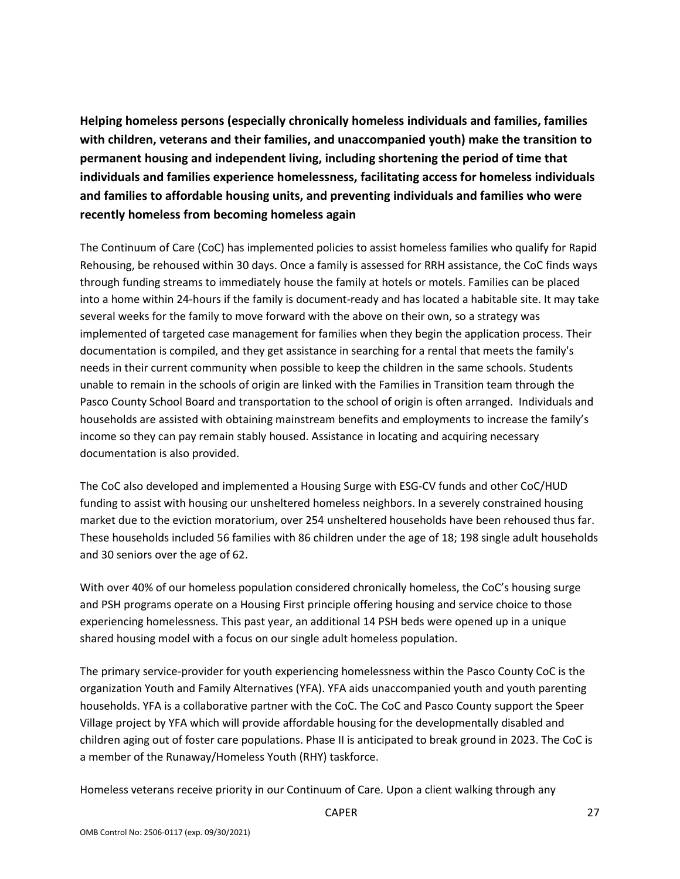**Helping homeless persons (especially chronically homeless individuals and families, families with children, veterans and their families, and unaccompanied youth) make the transition to individuals and families experience homelessness, facilitating access for homeless individuals and families to affordable housing units, and preventing individuals and families who were permanent housing and independent living, including shortening the period of time that recently homeless from becoming homeless again** 

 into a home within 24-hours if the family is document-ready and has located a habitable site. It may take documentation is compiled, and they get assistance in searching for a rental that meets the family's unable to remain in the schools of origin are linked with the Families in Transition team through the Pasco County School Board and transportation to the school of origin is often arranged. Individuals and The Continuum of Care (CoC) has implemented policies to assist homeless families who qualify for Rapid Rehousing, be rehoused within 30 days. Once a family is assessed for RRH assistance, the CoC finds ways through funding streams to immediately house the family at hotels or motels. Families can be placed several weeks for the family to move forward with the above on their own, so a strategy was implemented of targeted case management for families when they begin the application process. Their needs in their current community when possible to keep the children in the same schools. Students households are assisted with obtaining mainstream benefits and employments to increase the family's income so they can pay remain stably housed. Assistance in locating and acquiring necessary documentation is also provided.

 market due to the eviction moratorium, over 254 unsheltered households have been rehoused thus far. These households included 56 families with 86 children under the age of 18; 198 single adult households The CoC also developed and implemented a Housing Surge with ESG-CV funds and other CoC/HUD funding to assist with housing our unsheltered homeless neighbors. In a severely constrained housing and 30 seniors over the age of 62.

 and PSH programs operate on a Housing First principle offering housing and service choice to those shared housing model with a focus on our single adult homeless population. With over 40% of our homeless population considered chronically homeless, the CoC's housing surge experiencing homelessness. This past year, an additional 14 PSH beds were opened up in a unique

 children aging out of foster care populations. Phase II is anticipated to break ground in 2023. The CoC is The primary service-provider for youth experiencing homelessness within the Pasco County CoC is the organization Youth and Family Alternatives (YFA). YFA aids unaccompanied youth and youth parenting households. YFA is a collaborative partner with the CoC. The CoC and Pasco County support the Speer Village project by YFA which will provide affordable housing for the developmentally disabled and a member of the Runaway/Homeless Youth (RHY) taskforce.

Homeless veterans receive priority in our Continuum of Care. Upon a client walking through any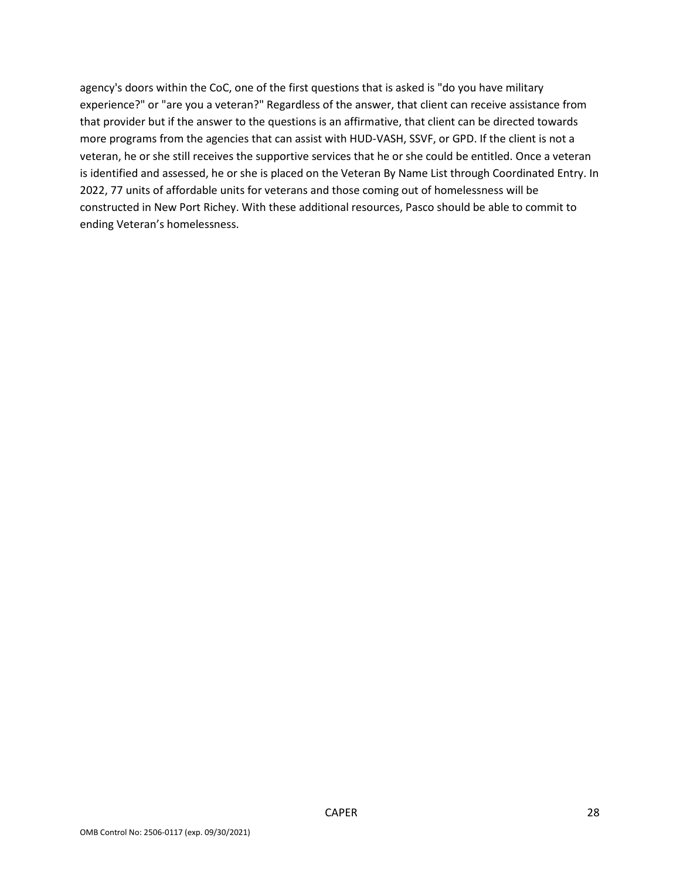agency's doors within the CoC, one of the first questions that is asked is "do you have military that provider but if the answer to the questions is an affirmative, that client can be directed towards more programs from the agencies that can assist with HUD-VASH, SSVF, or GPD. If the client is not a is identified and assessed, he or she is placed on the Veteran By Name List through Coordinated Entry. In 2022, 77 units of affordable units for veterans and those coming out of homelessness will be constructed in New Port Richey. With these additional resources, Pasco should be able to commit to experience?" or "are you a veteran?" Regardless of the answer, that client can receive assistance from veteran, he or she still receives the supportive services that he or she could be entitled. Once a veteran ending Veteran's homelessness.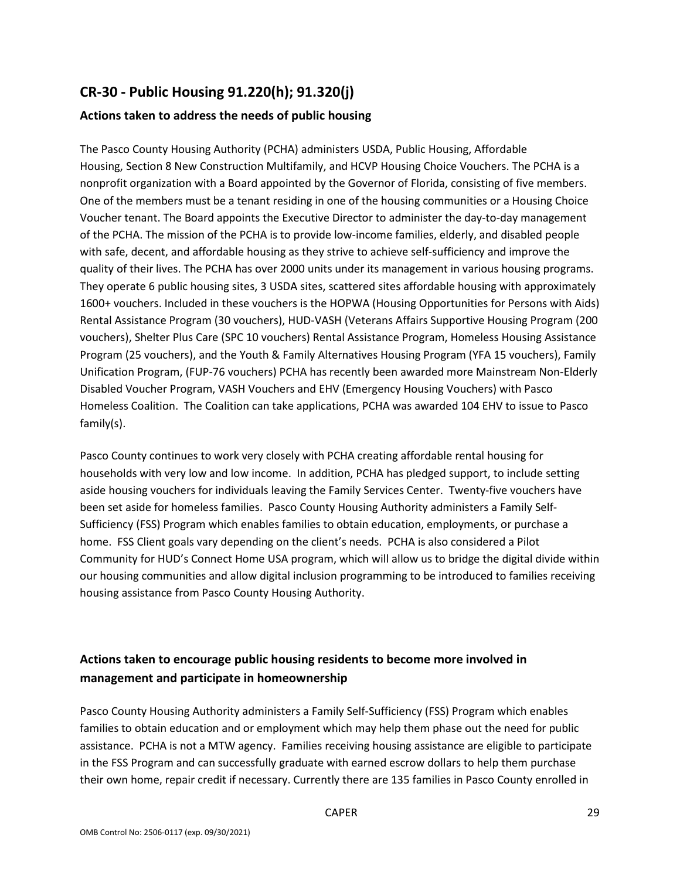## **CR-30 - Public Housing 91.220(h); 91.320(j)**

### **Actions taken to address the needs of public housing**

 The Pasco County Housing Authority (PCHA) administers USDA, Public Housing, Affordable nonprofit organization with a Board appointed by the Governor of Florida, consisting of five members. One of the members must be a tenant residing in one of the housing communities or a Housing Choice of the PCHA. The mission of the PCHA is to provide low-income families, elderly, and disabled people with safe, decent, and affordable housing as they strive to achieve self-sufficiency and improve the They operate 6 public housing sites, 3 USDA sites, scattered sites affordable housing with approximately vouchers), Shelter Plus Care (SPC 10 vouchers) Rental Assistance Program, Homeless Housing Assistance Program (25 vouchers), and the Youth & Family Alternatives Housing Program (YFA 15 vouchers), Family Unification Program, (FUP-76 vouchers) PCHA has recently been awarded more Mainstream Non-Elderly Disabled Voucher Program, VASH Vouchers and EHV (Emergency Housing Vouchers) with Pasco Homeless Coalition. The Coalition can take applications, PCHA was awarded 104 EHV to issue to Pasco Housing, Section 8 New Construction Multifamily, and HCVP Housing Choice Vouchers. The PCHA is a Voucher tenant. The Board appoints the Executive Director to administer the day-to-day management quality of their lives. The PCHA has over 2000 units under its management in various housing programs. 1600+ vouchers. Included in these vouchers is the HOPWA (Housing Opportunities for Persons with Aids) Rental Assistance Program (30 vouchers), HUD-VASH (Veterans Affairs Supportive Housing Program (200 family(s).

 households with very low and low income. In addition, PCHA has pledged support, to include setting aside housing vouchers for individuals leaving the Family Services Center. Twenty-five vouchers have been set aside for homeless families. Pasco County Housing Authority administers a Family Self- Sufficiency (FSS) Program which enables families to obtain education, employments, or purchase a home. FSS Client goals vary depending on the client's needs. PCHA is also considered a Pilot Pasco County continues to work very closely with PCHA creating affordable rental housing for Community for HUD's Connect Home USA program, which will allow us to bridge the digital divide within our housing communities and allow digital inclusion programming to be introduced to families receiving housing assistance from Pasco County Housing Authority.

## **Actions taken to encourage public housing residents to become more involved in management and participate in homeownership**

 Pasco County Housing Authority administers a Family Self-Sufficiency (FSS) Program which enables assistance. PCHA is not a MTW agency. Families receiving housing assistance are eligible to participate families to obtain education and or employment which may help them phase out the need for public in the FSS Program and can successfully graduate with earned escrow dollars to help them purchase their own home, repair credit if necessary. Currently there are 135 families in Pasco County enrolled in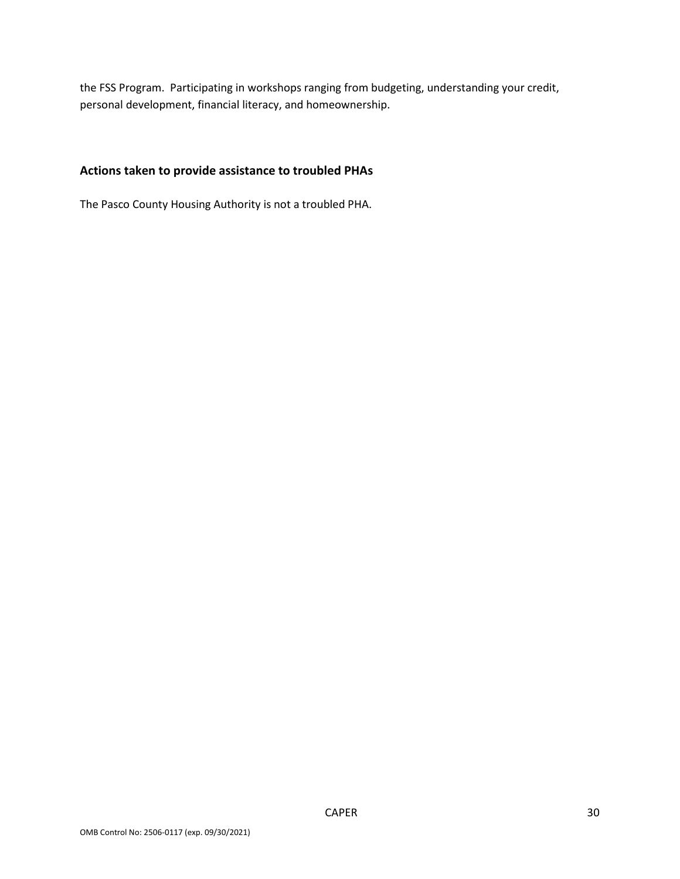the FSS Program. Participating in workshops ranging from budgeting, understanding your credit, personal development, financial literacy, and homeownership.

### **Actions taken to provide assistance to troubled PHAs**

The Pasco County Housing Authority is not a troubled PHA.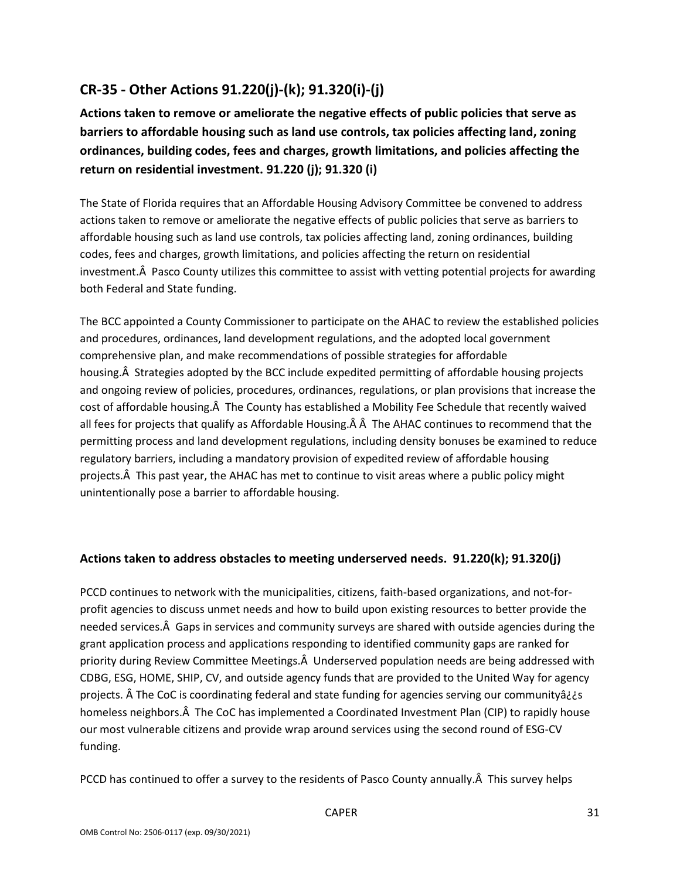# **CR-35 - Other Actions 91.220(j)-(k); 91.320(i)-(j)**

**Actions taken to remove or ameliorate the negative effects of public policies that serve as barriers to affordable housing such as land use controls, tax policies affecting land, zoning ordinances, building codes, fees and charges, growth limitations, and policies affecting the return on residential investment. 91.220 (j); 91.320 (i)** 

investment. Pasco County utilizes this committee to assist with vetting potential projects for awarding The State of Florida requires that an Affordable Housing Advisory Committee be convened to address actions taken to remove or ameliorate the negative effects of public policies that serve as barriers to affordable housing such as land use controls, tax policies affecting land, zoning ordinances, building codes, fees and charges, growth limitations, and policies affecting the return on residential both Federal and State funding.

 The BCC appointed a County Commissioner to participate on the AHAC to review the established policies comprehensive plan, and make recommendations of possible strategies for affordable housing. A Strategies adopted by the BCC include expedited permitting of affordable housing projects cost of affordable housing. A The County has established a Mobility Fee Schedule that recently waived all fees for projects that qualify as Affordable Housing. A A The AHAC continues to recommend that the projects. A This past year, the AHAC has met to continue to visit areas where a public policy might and procedures, ordinances, land development regulations, and the adopted local government and ongoing review of policies, procedures, ordinances, regulations, or plan provisions that increase the permitting process and land development regulations, including density bonuses be examined to reduce regulatory barriers, including a mandatory provision of expedited review of affordable housing unintentionally pose a barrier to affordable housing.

### **Actions taken to address obstacles to meeting underserved needs. 91.220(k); 91.320(j)**

 needed services. Gaps in services and community surveys are shared with outside agencies during the priority during Review Committee Meetings. A Underserved population needs are being addressed with CDBG, ESG, HOME, SHIP, CV, and outside agency funds that are provided to the United Way for agency homeless neighbors. A The CoC has implemented a Coordinated Investment Plan (CIP) to rapidly house our most vulnerable citizens and provide wrap around services using the second round of ESG-CV PCCD continues to network with the municipalities, citizens, faith-based organizations, and not-forprofit agencies to discuss unmet needs and how to build upon existing resources to better provide the grant application process and applications responding to identified community gaps are ranked for projects. Â The CoC is coordinating federal and state funding for agencies serving our communityâ¿¿s funding.

PCCD has continued to offer a survey to the residents of Pasco County annually. A This survey helps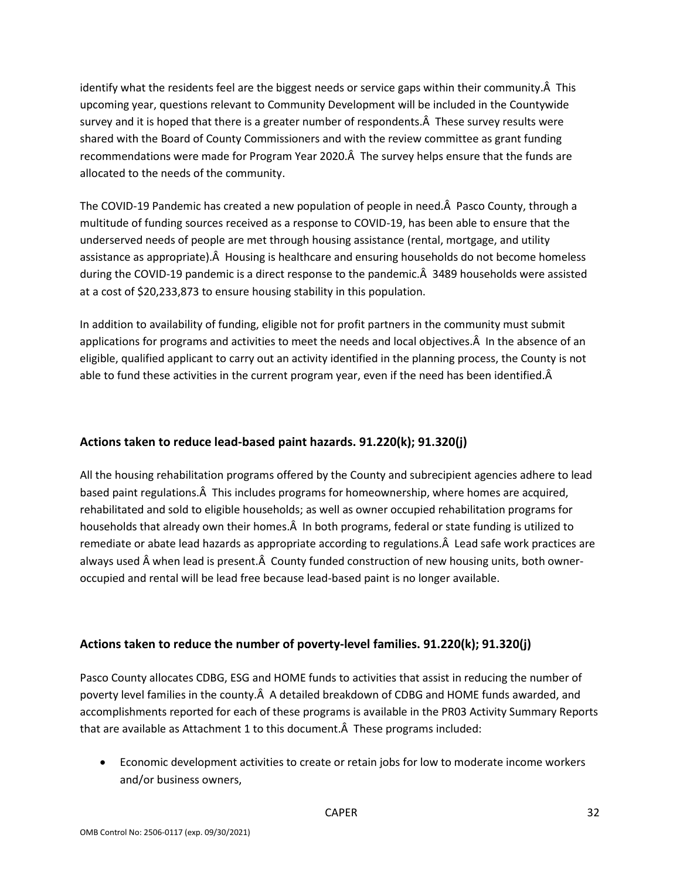identify what the residents feel are the biggest needs or service gaps within their community. $\hat{A}$  This survey and it is hoped that there is a greater number of respondents. A These survey results were shared with the Board of County Commissioners and with the review committee as grant funding recommendations were made for Program Year 2020. The survey helps ensure that the funds are upcoming year, questions relevant to Community Development will be included in the Countywide allocated to the needs of the community.

The COVID-19 Pandemic has created a new population of people in need. Pasco County, through a multitude of funding sources received as a response to COVID-19, has been able to ensure that the assistance as appropriate). A Housing is healthcare and ensuring households do not become homeless during the COVID-19 pandemic is a direct response to the pandemic. A 3489 households were assisted underserved needs of people are met through housing assistance (rental, mortgage, and utility at a cost of \$20,233,873 to ensure housing stability in this population.

applications for programs and activities to meet the needs and local objectives. A In the absence of an eligible, qualified applicant to carry out an activity identified in the planning process, the County is not able to fund these activities in the current program year, even if the need has been identified. $\hat{A}$ In addition to availability of funding, eligible not for profit partners in the community must submit

### **Actions taken to reduce lead-based paint hazards. 91.220(k); 91.320(j)**

based paint regulations. A This includes programs for homeownership, where homes are acquired, households that already own their homes. A In both programs, federal or state funding is utilized to remediate or abate lead hazards as appropriate according to regulations. A Lead safe work practices are always used when lead is present. County funded construction of new housing units, both owner-All the housing rehabilitation programs offered by the County and subrecipient agencies adhere to lead rehabilitated and sold to eligible households; as well as owner occupied rehabilitation programs for occupied and rental will be lead free because lead-based paint is no longer available.

### **Actions taken to reduce the number of poverty-level families. 91.220(k); 91.320(j)**

poverty level families in the county. A A detailed breakdown of CDBG and HOME funds awarded, and that are available as Attachment 1 to this document. A These programs included: Pasco County allocates CDBG, ESG and HOME funds to activities that assist in reducing the number of accomplishments reported for each of these programs is available in the PR03 Activity Summary Reports

 • Economic development activities to create or retain jobs for low to moderate income workers and/or business owners,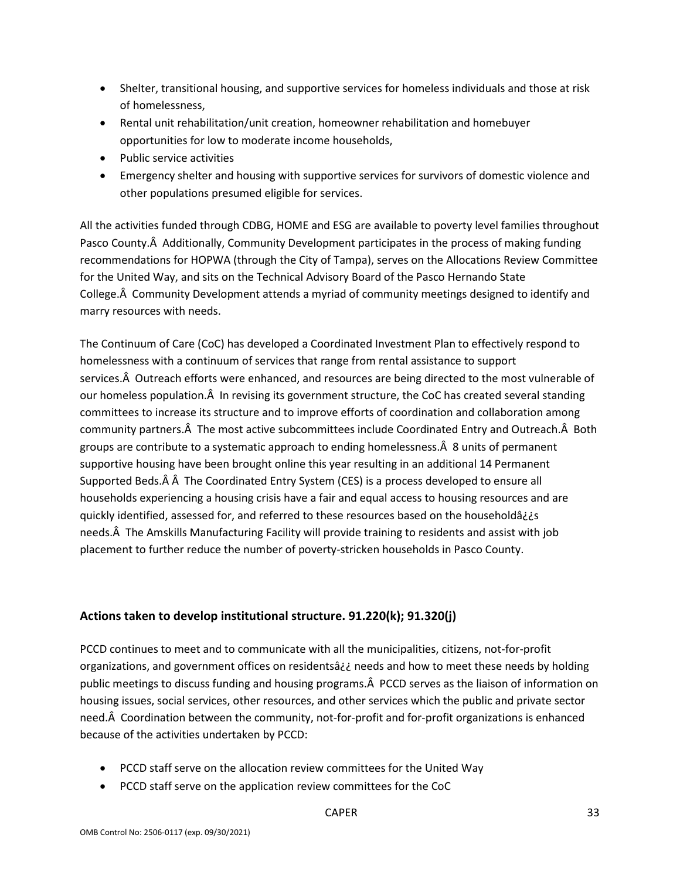- Shelter, transitional housing, and supportive services for homeless individuals and those at risk of homelessness,
- Rental unit rehabilitation/unit creation, homeowner rehabilitation and homebuyer opportunities for low to moderate income households,
- Public service activities
- Emergency shelter and housing with supportive services for survivors of domestic violence and other populations presumed eligible for services.

Pasco County. A Additionally, Community Development participates in the process of making funding recommendations for HOPWA (through the City of Tampa), serves on the Allocations Review Committee for the United Way, and sits on the Technical Advisory Board of the Pasco Hernando State College. A Community Development attends a myriad of community meetings designed to identify and All the activities funded through CDBG, HOME and ESG are available to poverty level families throughout marry resources with needs.

 homelessness with a continuum of services that range from rental assistance to support services. Outreach efforts were enhanced, and resources are being directed to the most vulnerable of our homeless population. A In revising its government structure, the CoC has created several standing committees to increase its structure and to improve efforts of coordination and collaboration among community partners. A The most active subcommittees include Coordinated Entry and Outreach. A Both groups are contribute to a systematic approach to ending homelessness. $\hat{A}$  8 units of permanent supportive housing have been brought online this year resulting in an additional 14 Permanent Supported Beds. A A The Coordinated Entry System (CES) is a process developed to ensure all needs. A The Amskills Manufacturing Facility will provide training to residents and assist with job The Continuum of Care (CoC) has developed a Coordinated Investment Plan to effectively respond to households experiencing a housing crisis have a fair and equal access to housing resources and are quickly identified, assessed for, and referred to these resources based on the householdâ¿¿s placement to further reduce the number of poverty-stricken households in Pasco County.

### **Actions taken to develop institutional structure. 91.220(k); 91.320(j)**

 PCCD continues to meet and to communicate with all the municipalities, citizens, not-for-profit organizations, and government offices on residentsâ¿¿ needs and how to meet these needs by holding public meetings to discuss funding and housing programs. A PCCD serves as the liaison of information on need. A Coordination between the community, not-for-profit and for-profit organizations is enhanced housing issues, social services, other resources, and other services which the public and private sector because of the activities undertaken by PCCD:

- PCCD staff serve on the allocation review committees for the United Way
- PCCD staff serve on the application review committees for the CoC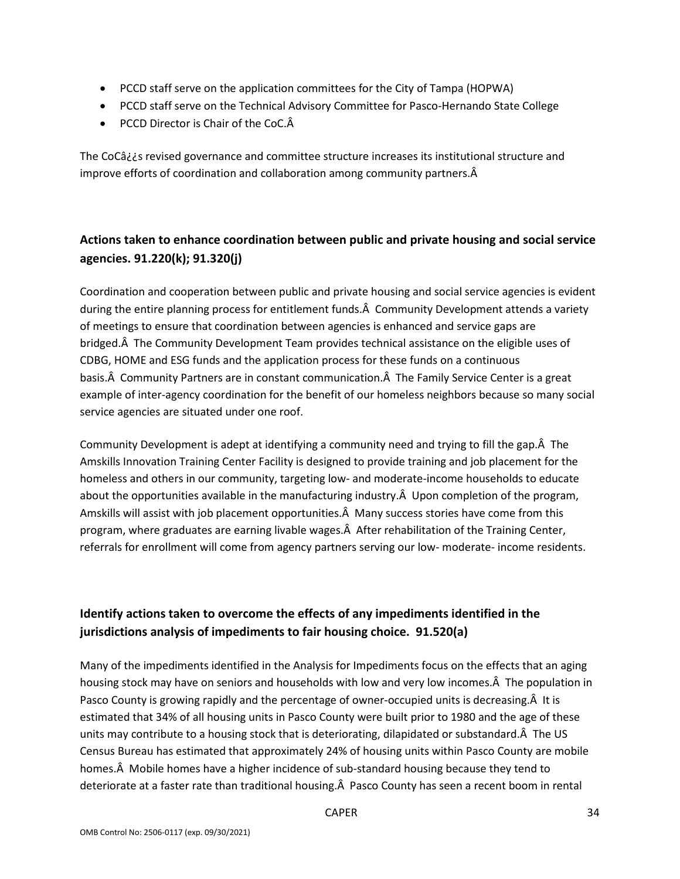- PCCD staff serve on the application committees for the City of Tampa (HOPWA)
- PCCD staff serve on the Technical Advisory Committee for Pasco-Hernando State College
- PCCD Director is Chair of the CoC.A

 improve efforts of coordination and collaboration among community partners. The CoCâ¿¿s revised governance and committee structure increases its institutional structure and

## **Actions taken to enhance coordination between public and private housing and social service agencies. 91.220(k); 91.320(j)**

during the entire planning process for entitlement funds. A Community Development attends a variety bridged. The Community Development Team provides technical assistance on the eligible uses of basis. A Community Partners are in constant communication. A The Family Service Center is a great Coordination and cooperation between public and private housing and social service agencies is evident of meetings to ensure that coordination between agencies is enhanced and service gaps are CDBG, HOME and ESG funds and the application process for these funds on a continuous example of inter-agency coordination for the benefit of our homeless neighbors because so many social service agencies are situated under one roof.

Community Development is adept at identifying a community need and trying to fill the gap. A The about the opportunities available in the manufacturing industry. $\hat{A}$  Upon completion of the program, Amskills will assist with job placement opportunities. A Many success stories have come from this program, where graduates are earning livable wages. A After rehabilitation of the Training Center, referrals for enrollment will come from agency partners serving our low- moderate- income residents. Amskills Innovation Training Center Facility is designed to provide training and job placement for the homeless and others in our community, targeting low- and moderate-income households to educate

## **Identify actions taken to overcome the effects of any impediments identified in the jurisdictions analysis of impediments to fair housing choice. 91.520(a)**

 Many of the impediments identified in the Analysis for Impediments focus on the effects that an aging housing stock may have on seniors and households with low and very low incomes. A The population in Pasco County is growing rapidly and the percentage of owner-occupied units is decreasing. A It is estimated that 34% of all housing units in Pasco County were built prior to 1980 and the age of these units may contribute to a housing stock that is deteriorating, dilapidated or substandard. The US Census Bureau has estimated that approximately 24% of housing units within Pasco County are mobile homes. A Mobile homes have a higher incidence of sub-standard housing because they tend to deteriorate at a faster rate than traditional housing. A Pasco County has seen a recent boom in rental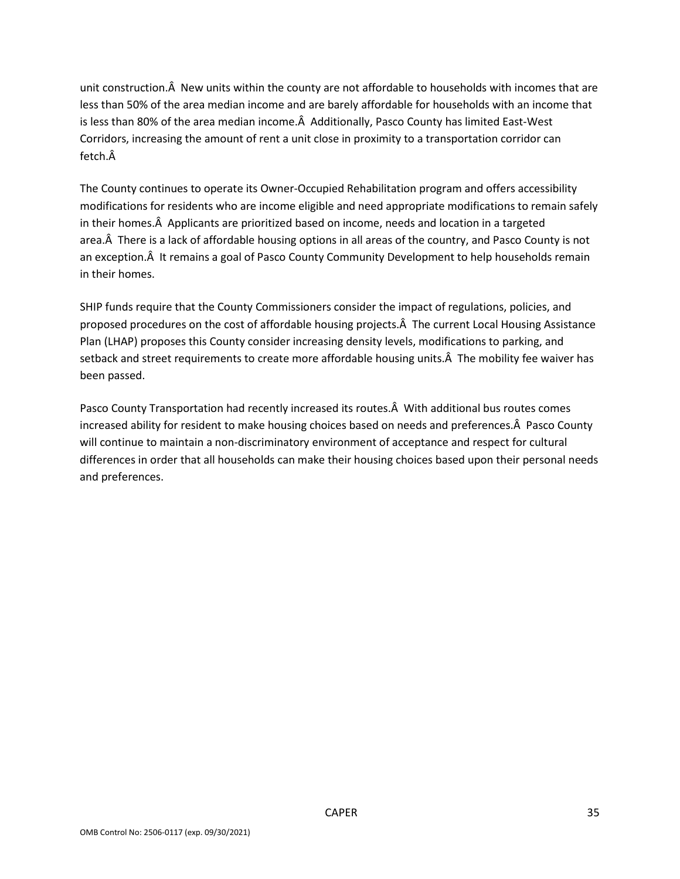unit construction. $\hat{A}$  New units within the county are not affordable to households with incomes that are less than 50% of the area median income and are barely affordable for households with an income that is less than 80% of the area median income. $\hat{A}$  Additionally, Pasco County has limited East-West fetch Â Corridors, increasing the amount of rent a unit close in proximity to a transportation corridor can

 modifications for residents who are income eligible and need appropriate modifications to remain safely in their homes. A Applicants are prioritized based on income, needs and location in a targeted area. A There is a lack of affordable housing options in all areas of the country, and Pasco County is not an exception. A It remains a goal of Pasco County Community Development to help households remain The County continues to operate its Owner-Occupied Rehabilitation program and offers accessibility in their homes.

 proposed procedures on the cost of affordable housing projects. The current Local Housing Assistance Plan (LHAP) proposes this County consider increasing density levels, modifications to parking, and setback and street requirements to create more affordable housing units. A The mobility fee waiver has SHIP funds require that the County Commissioners consider the impact of regulations, policies, and been passed.

Pasco County Transportation had recently increased its routes. A With additional bus routes comes increased ability for resident to make housing choices based on needs and preferences. A Pasco County will continue to maintain a non-discriminatory environment of acceptance and respect for cultural differences in order that all households can make their housing choices based upon their personal needs and preferences.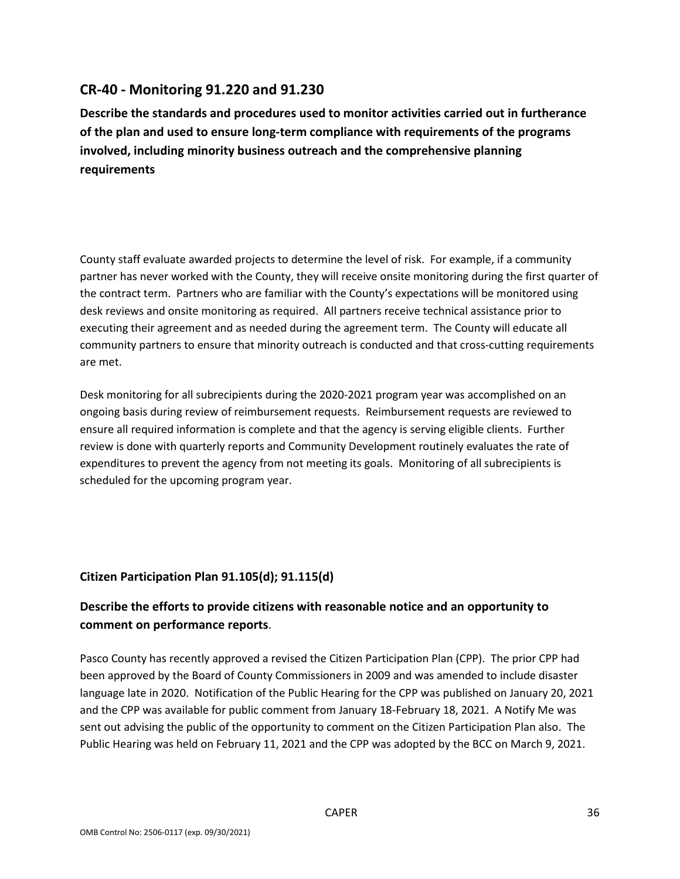### **CR-40 - Monitoring 91.220 and 91.230**

**Describe the standards and procedures used to monitor activities carried out in furtherance of the plan and used to ensure long-term compliance with requirements of the programs involved, including minority business outreach and the comprehensive planning requirements** 

 County staff evaluate awarded projects to determine the level of risk. For example, if a community partner has never worked with the County, they will receive onsite monitoring during the first quarter of the contract term. Partners who are familiar with the County's expectations will be monitored using desk reviews and onsite monitoring as required. All partners receive technical assistance prior to executing their agreement and as needed during the agreement term. The County will educate all community partners to ensure that minority outreach is conducted and that cross-cutting requirements are met.

 Desk monitoring for all subrecipients during the 2020-2021 program year was accomplished on an ongoing basis during review of reimbursement requests. Reimbursement requests are reviewed to ensure all required information is complete and that the agency is serving eligible clients. Further expenditures to prevent the agency from not meeting its goals. Monitoring of all subrecipients is review is done with quarterly reports and Community Development routinely evaluates the rate of scheduled for the upcoming program year.

### **Citizen Participation Plan 91.105(d); 91.115(d)**

### **Describe the efforts to provide citizens with reasonable notice and an opportunity to comment on performance reports**.

 Pasco County has recently approved a revised the Citizen Participation Plan (CPP). The prior CPP had language late in 2020. Notification of the Public Hearing for the CPP was published on January 20, 2021 and the CPP was available for public comment from January 18-February 18, 2021. A Notify Me was sent out advising the public of the opportunity to comment on the Citizen Participation Plan also. The Public Hearing was held on February 11, 2021 and the CPP was adopted by the BCC on March 9, 2021. been approved by the Board of County Commissioners in 2009 and was amended to include disaster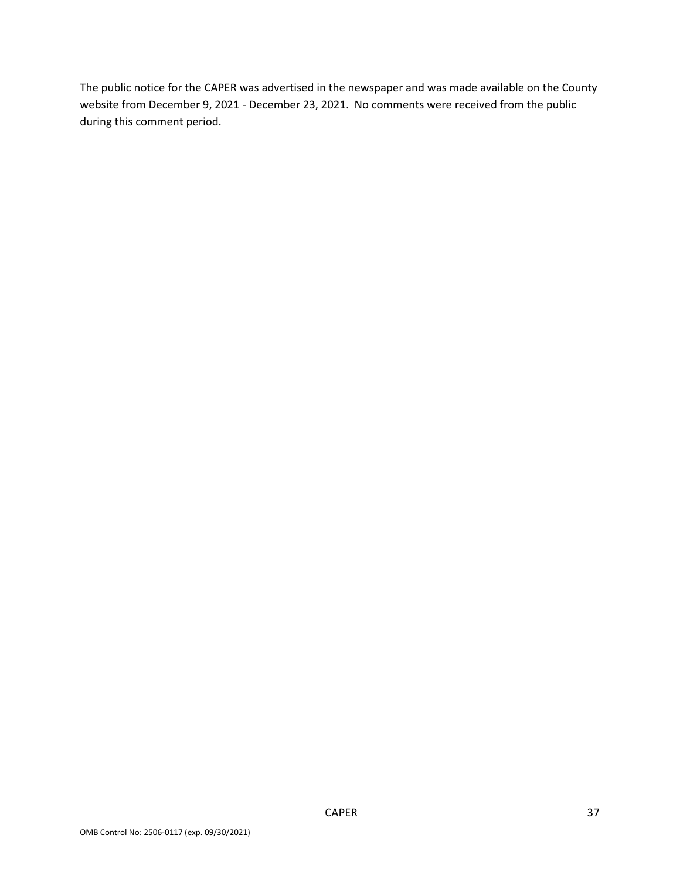The public notice for the CAPER was advertised in the newspaper and was made available on the County website from December 9, 2021 - December 23, 2021. No comments were received from the public during this comment period. during this comment period. CAPER 37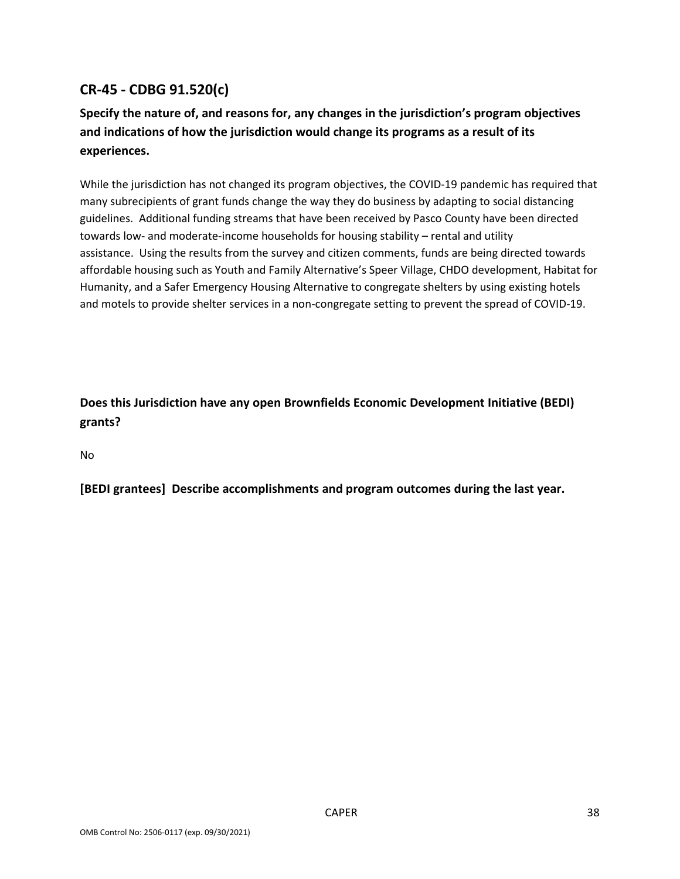## **CR-45 - CDBG 91.520(c)**

## **and indications of how the jurisdiction would change its programs as a result of its Specify the nature of, and reasons for, any changes in the jurisdiction's program objectives experiences.**

 guidelines. Additional funding streams that have been received by Pasco County have been directed While the jurisdiction has not changed its program objectives, the COVID-19 pandemic has required that many subrecipients of grant funds change the way they do business by adapting to social distancing towards low- and moderate-income households for housing stability – rental and utility assistance. Using the results from the survey and citizen comments, funds are being directed towards affordable housing such as Youth and Family Alternative's Speer Village, CHDO development, Habitat for Humanity, and a Safer Emergency Housing Alternative to congregate shelters by using existing hotels and motels to provide shelter services in a non-congregate setting to prevent the spread of COVID-19.

**Does this Jurisdiction have any open Brownfields Economic Development Initiative (BEDI) grants?** 

No

**[BEDI grantees] Describe accomplishments and program outcomes during the last year.**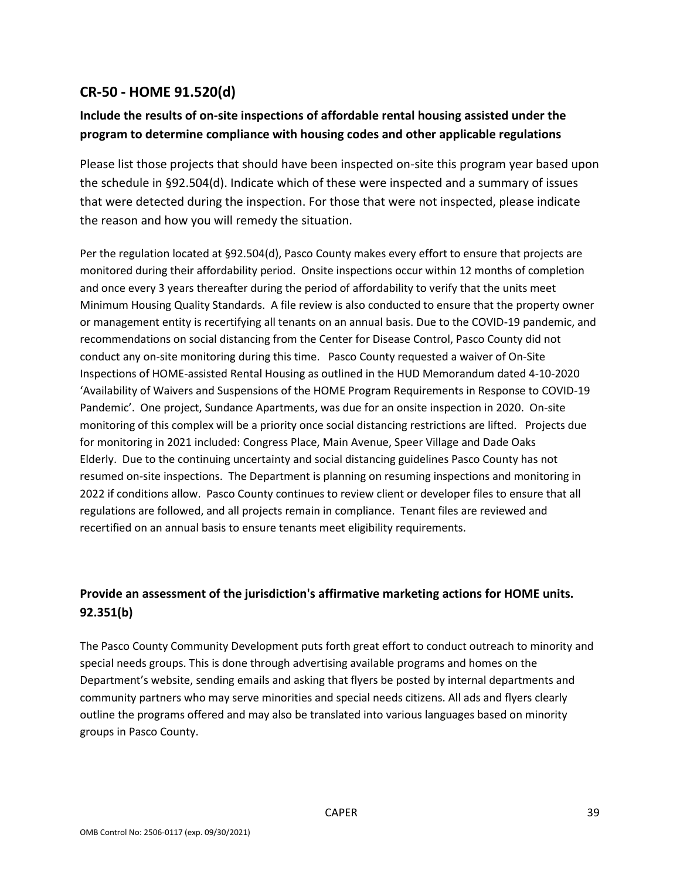### **CR-50 - HOME 91.520(d)**

## **Include the results of on-site inspections of affordable rental housing assisted under the program to determine compliance with housing codes and other applicable regulations**

 that were detected during the inspection. For those that were not inspected, please indicate Please list those projects that should have been inspected on-site this program year based upon the schedule in §92.504(d). Indicate which of these were inspected and a summary of issues the reason and how you will remedy the situation.

 monitored during their affordability period. Onsite inspections occur within 12 months of completion and once every 3 years thereafter during the period of affordability to verify that the units meet Minimum Housing Quality Standards. A file review is also conducted to ensure that the property owner conduct any on-site monitoring during this time. Pasco County requested a waiver of On-Site 'Availability of Waivers and Suspensions of the HOME Program Requirements in Response to COVID-19 Pandemic'. One project, Sundance Apartments, was due for an onsite inspection in 2020. On-site monitoring of this complex will be a priority once social distancing restrictions are lifted. Projects due for monitoring in 2021 included: Congress Place, Main Avenue, Speer Village and Dade Oaks Elderly. Due to the continuing uncertainty and social distancing guidelines Pasco County has not resumed on-site inspections. The Department is planning on resuming inspections and monitoring in 2022 if conditions allow. Pasco County continues to review client or developer files to ensure that all regulations are followed, and all projects remain in compliance. Tenant files are reviewed and recertified on an annual basis to ensure tenants meet eligibility requirements. Per the regulation located at §92.504(d), Pasco County makes every effort to ensure that projects are or management entity is recertifying all tenants on an annual basis. Due to the COVID-19 pandemic, and recommendations on social distancing from the Center for Disease Control, Pasco County did not Inspections of HOME-assisted Rental Housing as outlined in the HUD Memorandum dated 4-10-2020

## **Provide an assessment of the jurisdiction's affirmative marketing actions for HOME units. 92.351(b)**

 The Pasco County Community Development puts forth great effort to conduct outreach to minority and special needs groups. This is done through advertising available programs and homes on the Department's website, sending emails and asking that flyers be posted by internal departments and community partners who may serve minorities and special needs citizens. All ads and flyers clearly outline the programs offered and may also be translated into various languages based on minority groups in Pasco County.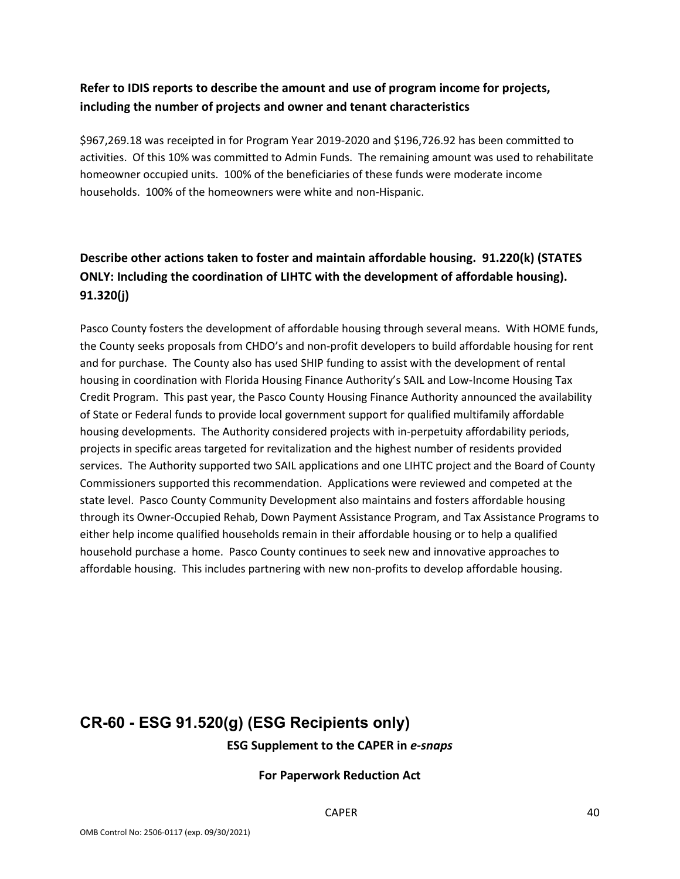## **Refer to IDIS reports to describe the amount and use of program income for projects, including the number of projects and owner and tenant characteristics**

 activities. Of this 10% was committed to Admin Funds. The remaining amount was used to rehabilitate homeowner occupied units. 100% of the beneficiaries of these funds were moderate income households. 100% of the homeowners were white and non-Hispanic. \$[967,269.18](https://967,269.18) was receipted in for Program Year 2019-2020 and [\\$196,726.92](https://196,726.92) has been committed to

## **Describe other actions taken to foster and maintain affordable housing. 91.220(k) (STATES ONLY: Including the coordination of LIHTC with the development of affordable housing). 91.320(j)**

 Pasco County fosters the development of affordable housing through several means. With HOME funds, and for purchase. The County also has used SHIP funding to assist with the development of rental Credit Program. This past year, the Pasco County Housing Finance Authority announced the availability housing developments. The Authority considered projects with in-perpetuity affordability periods, services. The Authority supported two SAIL applications and one LIHTC project and the Board of County Commissioners supported this recommendation. Applications were reviewed and competed at the state level. Pasco County Community Development also maintains and fosters affordable housing through its Owner-Occupied Rehab, Down Payment Assistance Program, and Tax Assistance Programs to either help income qualified households remain in their affordable housing or to help a qualified household purchase a home. Pasco County continues to seek new and innovative approaches to affordable housing. This includes partnering with new non-profits to develop affordable housing. the County seeks proposals from CHDO's and non-profit developers to build affordable housing for rent housing in coordination with Florida Housing Finance Authority's SAIL and Low-Income Housing Tax of State or Federal funds to provide local government support for qualified multifamily affordable projects in specific areas targeted for revitalization and the highest number of residents provided

# **CR-60 - ESG 91.520(g) (ESG Recipients only)**

 **ESG Supplement to the CAPER in** *e-snaps* 

### **For Paperwork Reduction Act**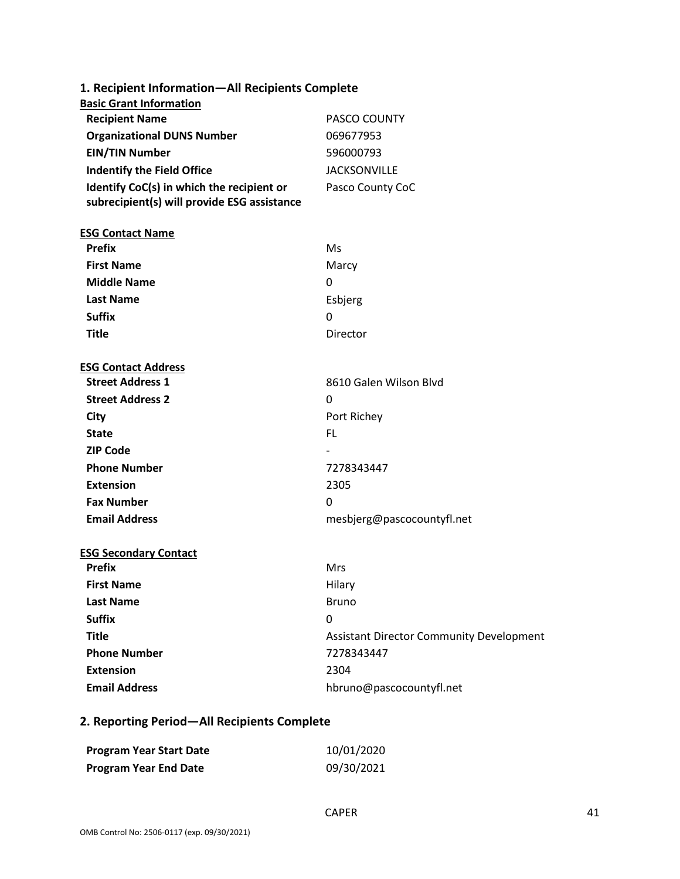| 1. Recipient Information-All Recipients Complete                                         |                                                 |
|------------------------------------------------------------------------------------------|-------------------------------------------------|
| <b>Basic Grant Information</b>                                                           |                                                 |
| <b>Recipient Name</b>                                                                    | PASCO COUNTY                                    |
| <b>Organizational DUNS Number</b>                                                        | 069677953                                       |
| <b>EIN/TIN Number</b>                                                                    | 596000793                                       |
| <b>Indentify the Field Office</b>                                                        | <b>JACKSONVILLE</b>                             |
| Identify CoC(s) in which the recipient or<br>subrecipient(s) will provide ESG assistance | Pasco County CoC                                |
| <b>ESG Contact Name</b>                                                                  |                                                 |
| <b>Prefix</b>                                                                            | Ms                                              |
| <b>First Name</b>                                                                        | Marcy                                           |
| <b>Middle Name</b>                                                                       | 0                                               |
| <b>Last Name</b>                                                                         | Esbjerg                                         |
| <b>Suffix</b>                                                                            | 0                                               |
| <b>Title</b>                                                                             | Director                                        |
| <b>ESG Contact Address</b>                                                               |                                                 |
| <b>Street Address 1</b>                                                                  | 8610 Galen Wilson Blvd                          |
| <b>Street Address 2</b>                                                                  | 0                                               |
| City                                                                                     | Port Richey                                     |
| <b>State</b>                                                                             | FL.                                             |
| <b>ZIP Code</b>                                                                          |                                                 |
| <b>Phone Number</b>                                                                      | 7278343447                                      |
| <b>Extension</b>                                                                         | 2305                                            |
| <b>Fax Number</b>                                                                        | 0                                               |
| <b>Email Address</b>                                                                     | mesbjerg@pascocountyfl.net                      |
| <b>ESG Secondary Contact</b>                                                             |                                                 |
| <b>Prefix</b>                                                                            | Mrs                                             |
| <b>First Name</b>                                                                        | Hilary                                          |
| <b>Last Name</b>                                                                         | <b>Bruno</b>                                    |
| <b>Suffix</b>                                                                            | 0                                               |
| <b>Title</b>                                                                             | <b>Assistant Director Community Development</b> |
| <b>Phone Number</b>                                                                      | 7278343447                                      |
| <b>Extension</b>                                                                         | 2304                                            |
| <b>Email Address</b>                                                                     | hbruno@pascocountyfl.net                        |

## **2. Reporting Period—All Recipients Complete**

| <b>Program Year Start Date</b> | 10/01/2020 |
|--------------------------------|------------|
| <b>Program Year End Date</b>   | 09/30/2021 |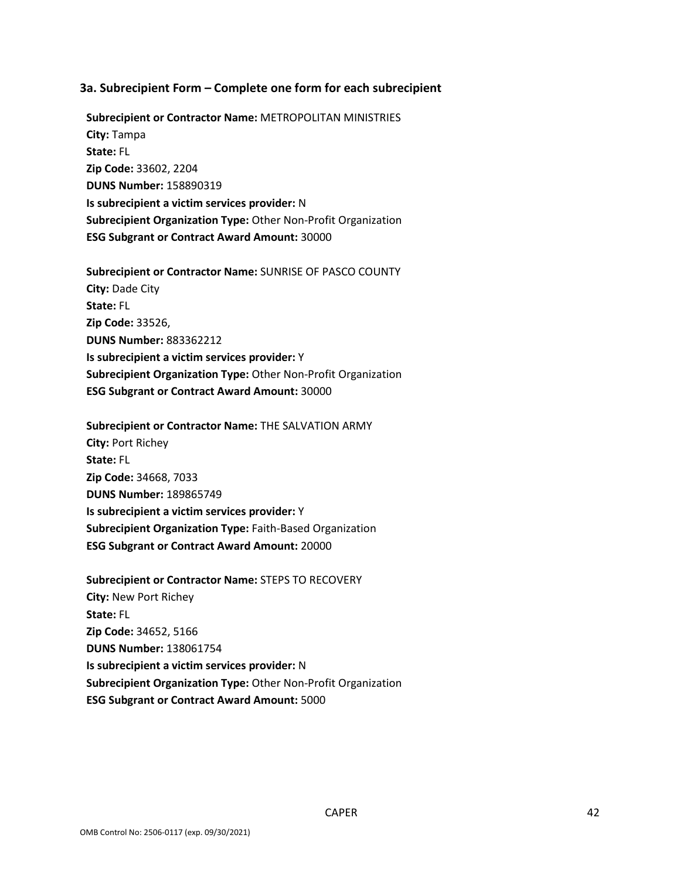#### **3a. Subrecipient Form – Complete one form for each subrecipient**

 **City:** Tampa **State:** FL **DUNS Number:** 158890319 **Is subrecipient a victim services provider:** N  **ESG Subgrant or Contract Award Amount:** 30000 **Subrecipient or Contractor Name:** METROPOLITAN MINISTRIES **Zip Code:** 33602, 2204 **Subrecipient Organization Type:** Other Non-Profit Organization

 **City:** Dade City **State:** FL **DUNS Number:** 883362212 **Is subrecipient a victim services provider:** Y  **ESG Subgrant or Contract Award Amount:** 30000 **Subrecipient or Contractor Name:** SUNRISE OF PASCO COUNTY **Zip Code:** 33526, **Subrecipient Organization Type:** Other Non-Profit Organization

 **City:** Port Richey **State:** FL **DUNS Number:** 189865749 **Is subrecipient a victim services provider:** Y  **ESG Subgrant or Contract Award Amount:** 20000 **Subrecipient or Contractor Name:** THE SALVATION ARMY **Zip Code:** 34668, 7033 **Subrecipient Organization Type:** Faith-Based Organization

 **State:** FL **DUNS Number:** 138061754 **Is subrecipient a victim services provider:** N  **ESG Subgrant or Contract Award Amount:** 5000 **Subrecipient or Contractor Name:** STEPS TO RECOVERY **City:** New Port Richey **Zip Code:** 34652, 5166 **Subrecipient Organization Type:** Other Non-Profit Organization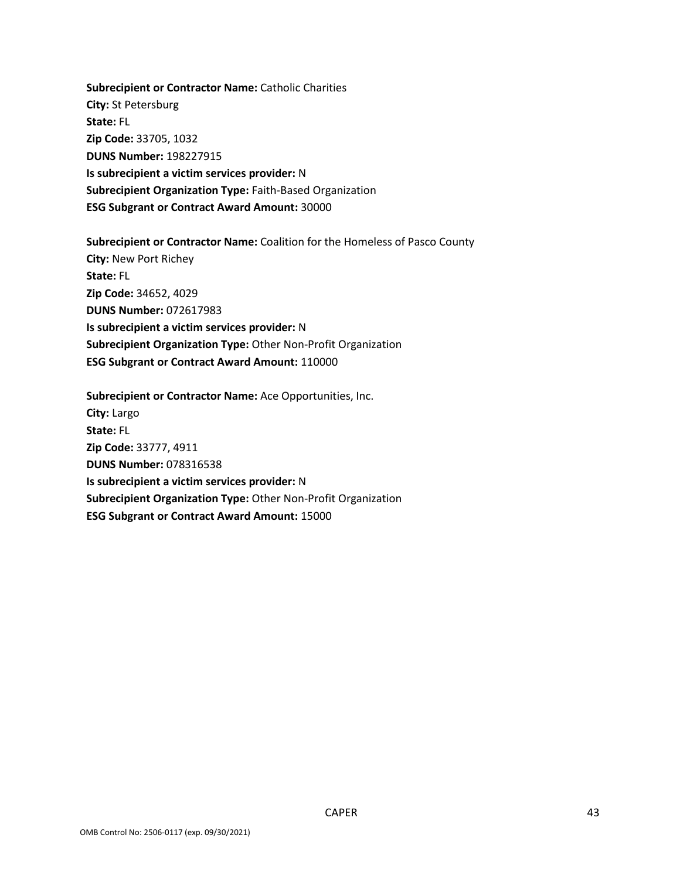**State:** FL **DUNS Number:** 198227915 **Is subrecipient a victim services provider:** N  **ESG Subgrant or Contract Award Amount:** 30000 **Subrecipient or Contractor Name:** Catholic Charities **City:** St Petersburg **Zip Code:** 33705, 1032 **Subrecipient Organization Type:** Faith-Based Organization

 **State:** FL **DUNS Number:** 072617983 **Is subrecipient a victim services provider:** N  **ESG Subgrant or Contract Award Amount:** 110000 **Subrecipient or Contractor Name:** Coalition for the Homeless of Pasco County **City:** New Port Richey **Zip Code:** 34652, 4029 **Subrecipient Organization Type:** Other Non-Profit Organization

 **City:** Largo **State:** FL **DUNS Number:** 078316538 **Is subrecipient a victim services provider:** N  **ESG Subgrant or Contract Award Amount:** 15000 **Subrecipient or Contractor Name:** Ace Opportunities, Inc. **Zip Code:** 33777, 4911 **Subrecipient Organization Type:** Other Non-Profit Organization

CAPER 43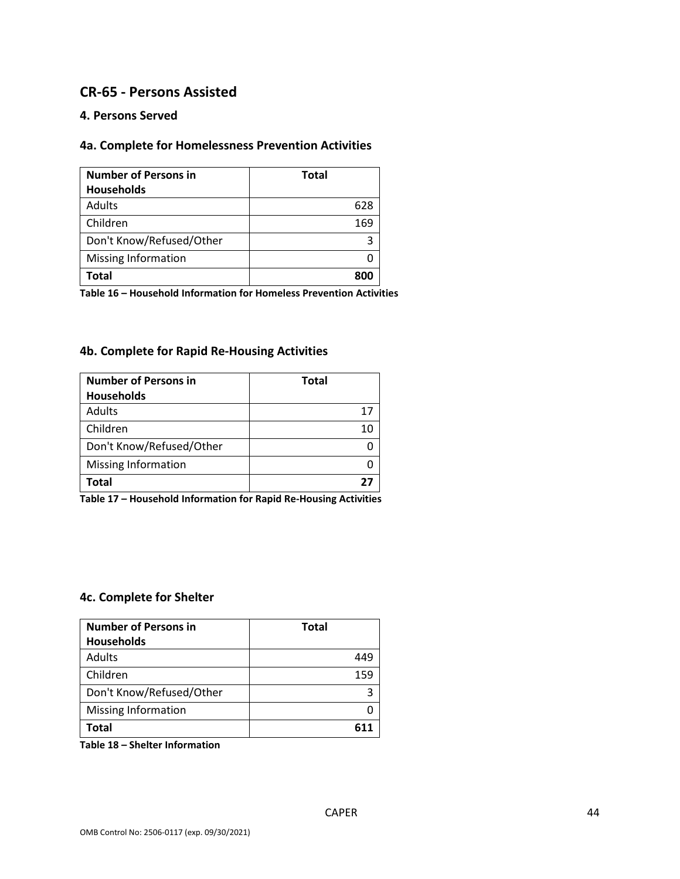### **CR-65 - Persons Assisted**

### **4. Persons Served**

### **4a. Complete for Homelessness Prevention Activities**

| <b>Number of Persons in</b> | <b>Total</b> |
|-----------------------------|--------------|
| <b>Households</b>           |              |
| Adults                      | 628          |
| Children                    | 169          |
| Don't Know/Refused/Other    | 3            |
| <b>Missing Information</b>  |              |
| Total                       | 8U           |

**Table 16 – Household Information for Homeless Prevention Activities** 

### **4b. Complete for Rapid Re-Housing Activities**

| <b>Number of Persons in</b> | <b>Total</b> |
|-----------------------------|--------------|
| <b>Households</b>           |              |
| Adults                      | 17           |
| Children                    | 10           |
| Don't Know/Refused/Other    |              |
| <b>Missing Information</b>  |              |
| Total                       |              |

**Table 17 – Household Information for Rapid Re-Housing Activities** 

#### **4c. Complete for Shelter**

| <b>Number of Persons in</b><br><b>Households</b> | <b>Total</b> |
|--------------------------------------------------|--------------|
| Adults                                           | 449          |
| Children                                         | 159          |
| Don't Know/Refused/Other                         |              |
| <b>Missing Information</b>                       |              |
| Total                                            |              |

**Table 18 – Shelter Information**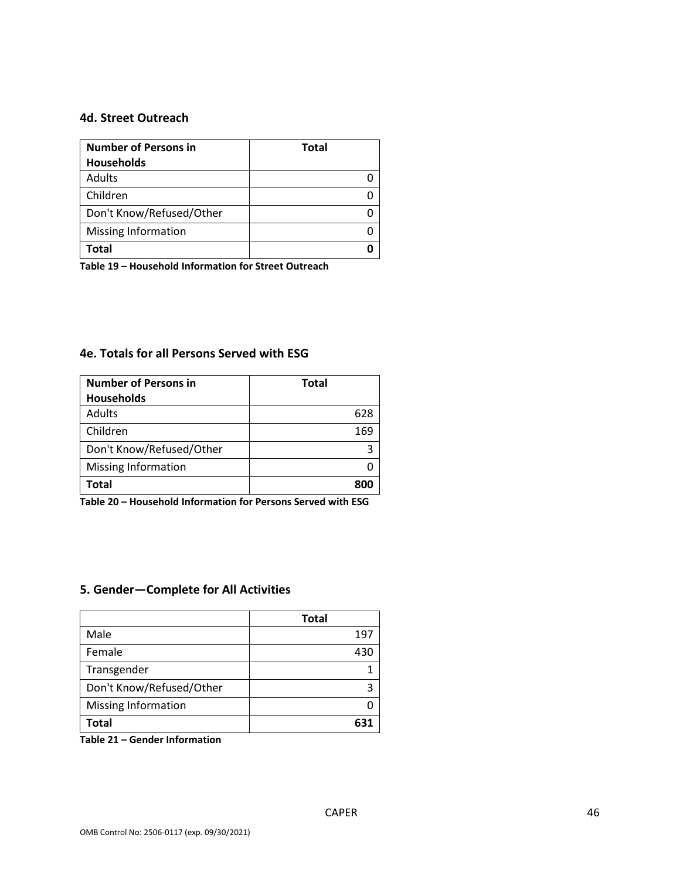### **4d. Street Outreach**

| <b>Number of Persons in</b> | <b>Total</b> |
|-----------------------------|--------------|
| <b>Households</b>           |              |
| Adults                      |              |
| Children                    |              |
| Don't Know/Refused/Other    |              |
| <b>Missing Information</b>  |              |
| Total                       |              |

**Table 19 – Household Information for Street Outreach** 

### **4e. Totals for all Persons Served with ESG**

| <b>Number of Persons in</b> | <b>Total</b> |
|-----------------------------|--------------|
| <b>Households</b>           |              |
| Adults                      | 628          |
| Children                    | 169          |
| Don't Know/Refused/Other    |              |
| <b>Missing Information</b>  |              |
| <b>Total</b>                | 8UL          |

**Table 20 – Household Information for Persons Served with ESG** 

### **5. Gender—Complete for All Activities**

|                            | <b>Total</b> |
|----------------------------|--------------|
| Male                       | 197          |
| Female                     | 430          |
| Transgender                |              |
| Don't Know/Refused/Other   |              |
| <b>Missing Information</b> |              |
| Total                      |              |

**Table 21 – Gender Information**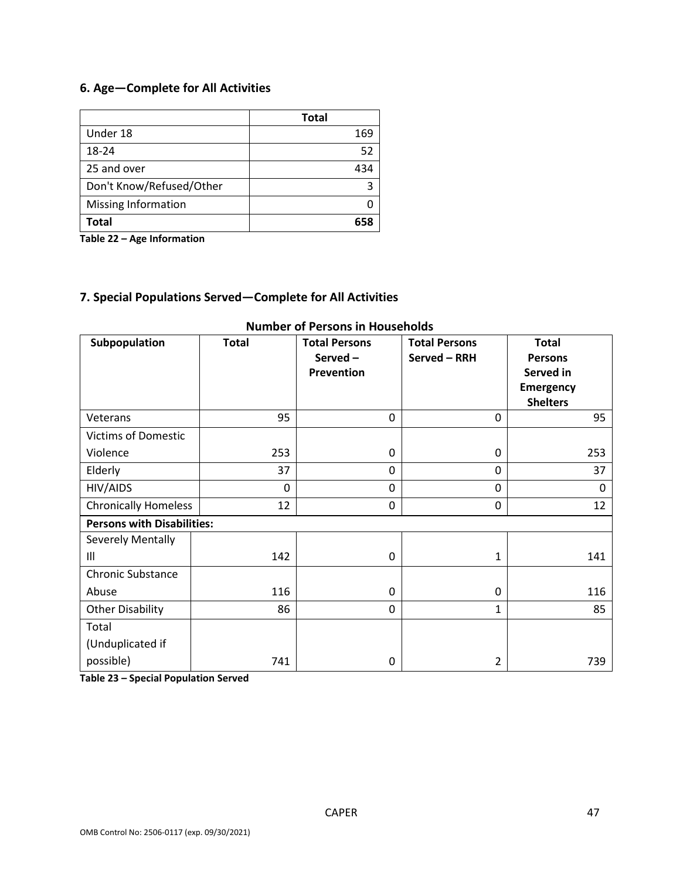## **6. Age—Complete for All Activities**

|                            | <b>Total</b> |
|----------------------------|--------------|
| Under 18                   | 169          |
| 18-24                      | 52           |
| 25 and over                | 434          |
| Don't Know/Refused/Other   | 3            |
| <b>Missing Information</b> |              |
| Total                      |              |

**Table 22 – Age Information** 

### **7. Special Populations Served—Complete for All Activities**

| Subpopulation                     | <b>Total</b> | <b>Total Persons</b><br>Served-<br><b>Prevention</b> | <b>Total Persons</b><br>Served - RRH | <b>Total</b><br><b>Persons</b><br>Served in<br><b>Emergency</b><br><b>Shelters</b> |
|-----------------------------------|--------------|------------------------------------------------------|--------------------------------------|------------------------------------------------------------------------------------|
| Veterans                          | 95           | 0                                                    | $\mathbf 0$                          | 95                                                                                 |
| <b>Victims of Domestic</b>        |              |                                                      |                                      |                                                                                    |
| Violence                          | 253          | 0                                                    | 0                                    | 253                                                                                |
| Elderly                           | 37           | 0                                                    | 0                                    | 37                                                                                 |
| HIV/AIDS                          | $\mathbf 0$  | 0                                                    | 0                                    | $\Omega$                                                                           |
| <b>Chronically Homeless</b>       | 12           | 0                                                    | 0                                    | 12                                                                                 |
| <b>Persons with Disabilities:</b> |              |                                                      |                                      |                                                                                    |
| Severely Mentally                 |              |                                                      |                                      |                                                                                    |
| Ш                                 | 142          | 0                                                    | 1                                    | 141                                                                                |
| <b>Chronic Substance</b>          |              |                                                      |                                      |                                                                                    |
| Abuse                             | 116          | 0                                                    | 0                                    | 116                                                                                |
| <b>Other Disability</b>           | 86           | 0                                                    | $\mathbf{1}$                         | 85                                                                                 |
| Total                             |              |                                                      |                                      |                                                                                    |
| (Unduplicated if                  |              |                                                      |                                      |                                                                                    |
| possible)                         | 741          | 0                                                    | 2                                    | 739                                                                                |

### **Number of Persons in Households**

**Table 23 – Special Population Served**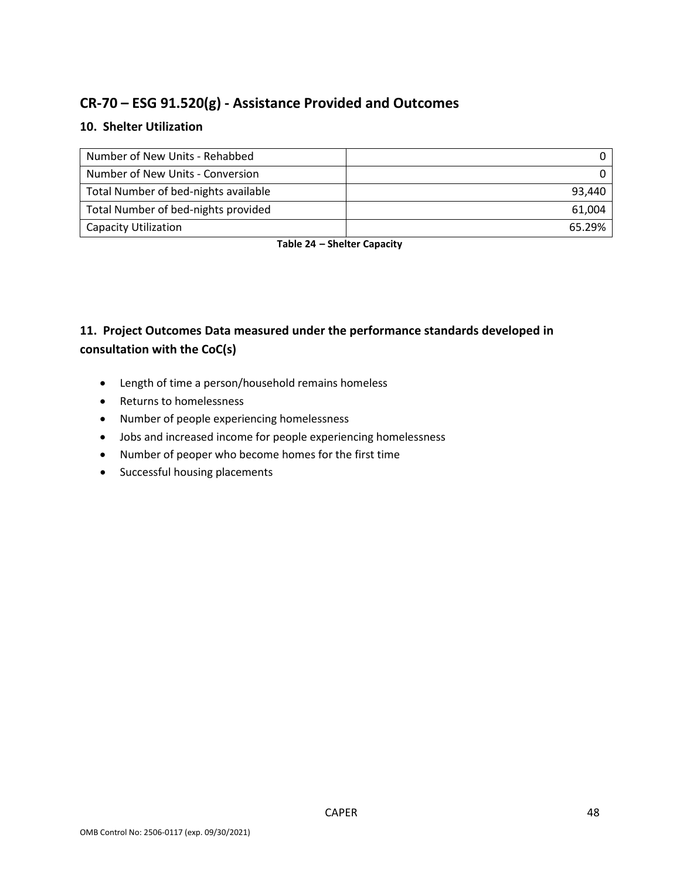# **CR-70 – ESG 91.520(g) - Assistance Provided and Outcomes**

### **10. Shelter Utilization**

| Number of New Units - Rehabbed       |        |
|--------------------------------------|--------|
| Number of New Units - Conversion     |        |
| Total Number of bed-nights available | 93.440 |
| Total Number of bed-nights provided  | 61.004 |
| <b>Capacity Utilization</b>          | 65.29% |

 **Table 24 – Shelter Capacity** 

## **consultation with the CoC(s) 11. Project Outcomes Data measured under the performance standards developed in**

- Length of time a person/household remains homeless
- Returns to homelessness
- Number of people experiencing homelessness
- Jobs and increased income for people experiencing homelessness
- Number of peoper who become homes for the first time
- Successful housing placements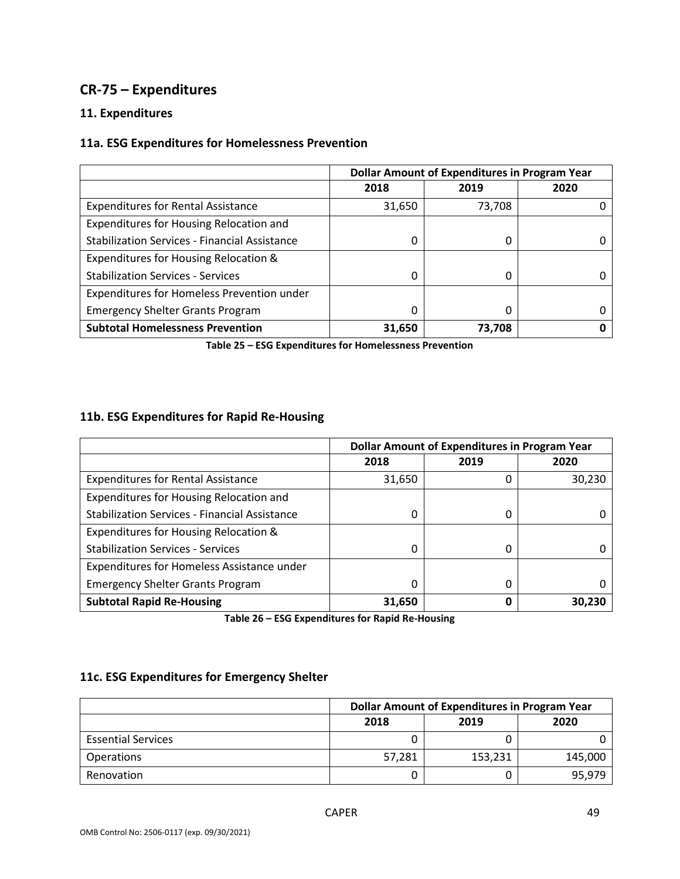## **CR-75 – Expenditures**

### **11. Expenditures**

### **11a. ESG Expenditures for Homelessness Prevention**

|                                                      | <b>Dollar Amount of Expenditures in Program Year</b> |        |      |
|------------------------------------------------------|------------------------------------------------------|--------|------|
|                                                      | 2018                                                 | 2019   | 2020 |
| <b>Expenditures for Rental Assistance</b>            | 31,650                                               | 73,708 |      |
| Expenditures for Housing Relocation and              |                                                      |        |      |
| <b>Stabilization Services - Financial Assistance</b> | 0                                                    | 0      |      |
| Expenditures for Housing Relocation &                |                                                      |        |      |
| <b>Stabilization Services - Services</b>             | O                                                    | 0      |      |
| Expenditures for Homeless Prevention under           |                                                      |        |      |
| <b>Emergency Shelter Grants Program</b>              | 0                                                    | 0      |      |
| <b>Subtotal Homelessness Prevention</b>              | 31,650                                               | 73,708 |      |

**Table 25 – ESG Expenditures for Homelessness Prevention** 

### **11b. ESG Expenditures for Rapid Re-Housing**

|                                                      | <b>Dollar Amount of Expenditures in Program Year</b> |      |        |
|------------------------------------------------------|------------------------------------------------------|------|--------|
|                                                      | 2018                                                 | 2019 | 2020   |
| <b>Expenditures for Rental Assistance</b>            | 31,650                                               | 0    | 30,230 |
| Expenditures for Housing Relocation and              |                                                      |      |        |
| <b>Stabilization Services - Financial Assistance</b> |                                                      | 0    |        |
| Expenditures for Housing Relocation &                |                                                      |      |        |
| <b>Stabilization Services - Services</b>             | <sup>0</sup>                                         | 0    |        |
| Expenditures for Homeless Assistance under           |                                                      |      |        |
| <b>Emergency Shelter Grants Program</b>              |                                                      | 0    |        |
| <b>Subtotal Rapid Re-Housing</b>                     | 31,650                                               | 0    | 30,230 |

**Table 26 – ESG Expenditures for Rapid Re-Housing** 

### **11c. ESG Expenditures for Emergency Shelter**

|                           | <b>Dollar Amount of Expenditures in Program Year</b> |         |         |
|---------------------------|------------------------------------------------------|---------|---------|
|                           | 2018                                                 | 2019    | 2020    |
| <b>Essential Services</b> |                                                      |         |         |
| <b>Operations</b>         | 57,281                                               | 153,231 | 145,000 |
| Renovation                |                                                      |         | 95,979  |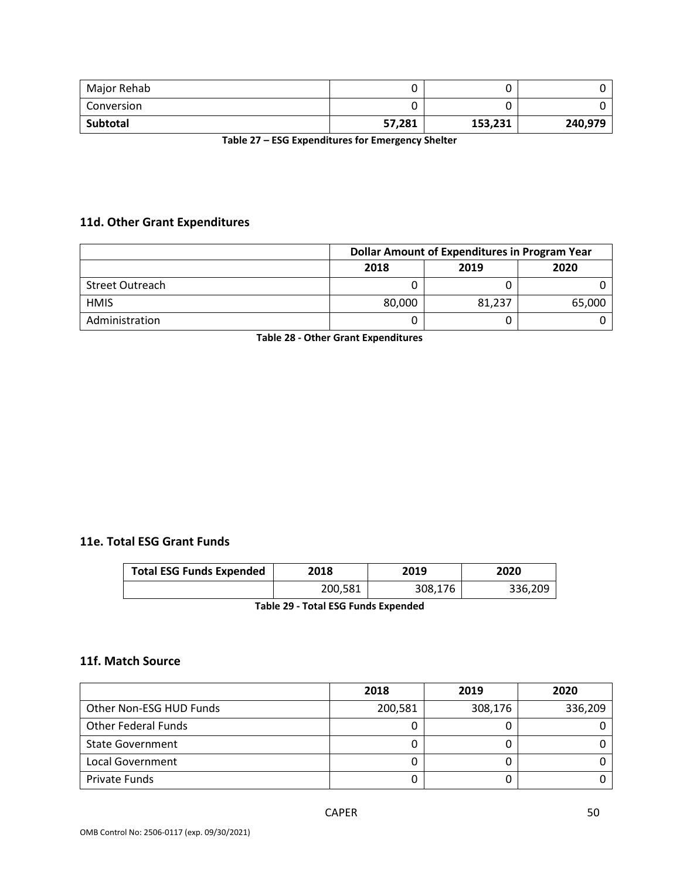| Major Rehab |        | u       |         |
|-------------|--------|---------|---------|
| Conversion  |        |         |         |
| Subtotal    | 57,281 | 153,231 | 240,979 |

**Table 27 – ESG Expenditures for Emergency Shelter** 

### **11d. Other Grant Expenditures**

|                 | <b>Dollar Amount of Expenditures in Program Year</b> |        |        |
|-----------------|------------------------------------------------------|--------|--------|
|                 | 2018                                                 | 2019   | 2020   |
| Street Outreach |                                                      |        |        |
| <b>HMIS</b>     | 80,000                                               | 81.237 | 65,000 |
| Administration  |                                                      |        |        |

**Table 28 - Other Grant Expenditures** 

### **11e. Total ESG Grant Funds**

| <b>Total ESG Funds Expended</b> | 2018    | 2019    | 2020    |
|---------------------------------|---------|---------|---------|
|                                 | 200,581 | 308,176 | 336,209 |

**Table 29 - Total ESG Funds Expended** 

### **11f. Match Source**

|                            | 2018    | 2019    | 2020    |
|----------------------------|---------|---------|---------|
| Other Non-ESG HUD Funds    | 200,581 | 308,176 | 336,209 |
| <b>Other Federal Funds</b> |         |         |         |
| <b>State Government</b>    |         |         |         |
| Local Government           |         |         |         |
| Private Funds              |         |         |         |